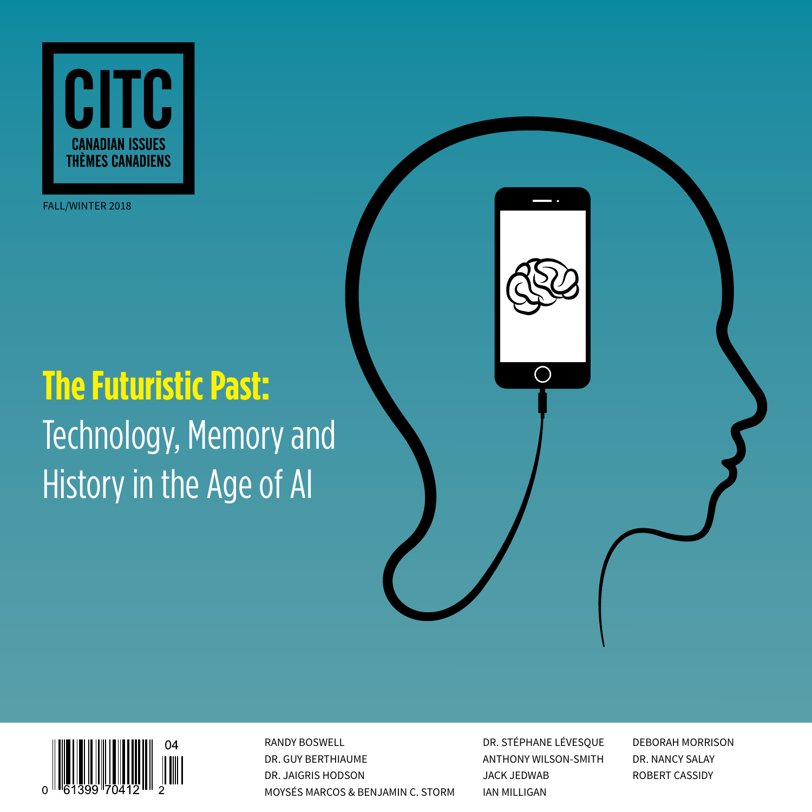

FALL/WINTER 2018

# **The Futuristic Past:** Technology, Memory and History in the Age of AI



RANDY BOSWELL **EXECUTE DR. STÉPHANE LÉVESQUE** DEBORAH MORRISON DR. GUY BERTHIAUME ANTHONY WILSON-SMITH DR. NANCY SALAY DR. JAIGRIS HODSON JACK JEDWAB ROBERT CASSIDY MOYSÉS MARCOS & BENJAMIN C. STORM IAN MILLIGAN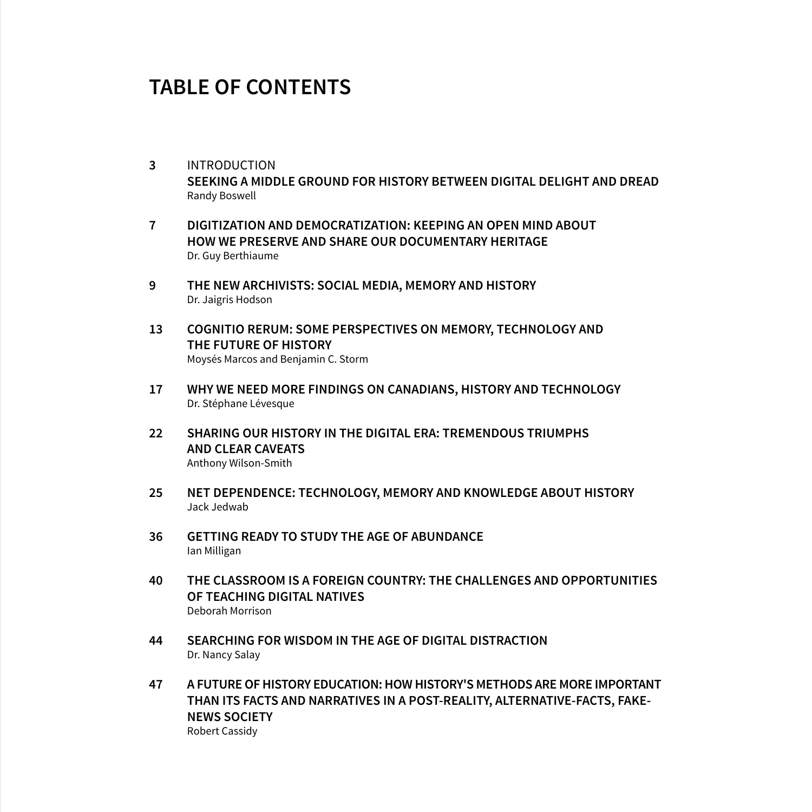### **TABLE OF CONTENTS**

- **3** INTRODUCTION **SEEKING A MIDDLE GROUND FOR HISTORY BETWEEN DIGITAL DELIGHT AND DREAD** Randy Boswell
- **7 DIGITIZATION AND DEMOCRATIZATION: KEEPING AN OPEN MIND ABOUT HOW WE PRESERVE AND SHARE OUR DOCUMENTARY HERITAGE** Dr. Guy Berthiaume
- **9 THE NEW ARCHIVISTS: SOCIAL MEDIA, MEMORY AND HISTORY** Dr. Jaigris Hodson
- **13 COGNITIO RERUM: SOME PERSPECTIVES ON MEMORY, TECHNOLOGY AND THE FUTURE OF HISTORY** Moysés Marcos and Benjamin C. Storm
- **17 WHY WE NEED MORE FINDINGS ON CANADIANS, HISTORY AND TECHNOLOGY** Dr. Stéphane Lévesque
- **22 SHARING OUR HISTORY IN THE DIGITAL ERA: TREMENDOUS TRIUMPHS AND CLEAR CAVEATS** Anthony Wilson-Smith
- **25 NET DEPENDENCE: TECHNOLOGY, MEMORY AND KNOWLEDGE ABOUT HISTORY** Jack Jedwab
- **36 GETTING READY TO STUDY THE AGE OF ABUNDANCE** Ian Milligan
- **40 THE CLASSROOM IS A FOREIGN COUNTRY: THE CHALLENGES AND OPPORTUNITIES OF TEACHING DIGITAL NATIVES** Deborah Morrison
- **44 SEARCHING FOR WISDOM IN THE AGE OF DIGITAL DISTRACTION** Dr. Nancy Salay
- **47 A FUTURE OF HISTORY EDUCATION: HOW HISTORY'S METHODS ARE MORE IMPORTANT THAN ITS FACTS AND NARRATIVES IN A POST-REALITY, ALTERNATIVE-FACTS, FAKE-NEWS SOCIETY** Robert Cassidy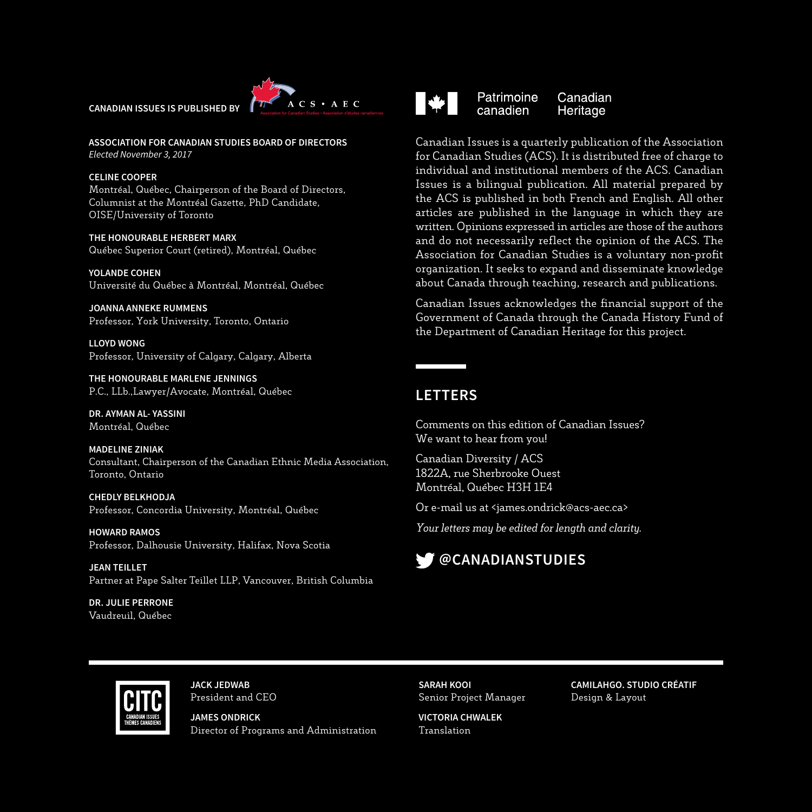



**ASSOCIATION FOR CANADIAN STUDIES BOARD OF DIRECTORS** *Elected November 3, 2017*

#### **CELINE COOPER**

Montréal, Québec, Chairperson of the Board of Directors, Columnist at the Montréal Gazette, PhD Candidate, OISE/University of Toronto

**THE HONOURABLE HERBERT MARX** Québec Superior Court (retired), Montréal, Québec

**YOLANDE COHEN** Université du Québec à Montréal, Montréal, Québec

**JOANNA ANNEKE RUMMENS** Professor, York University, Toronto, Ontario

**LLOYD WONG** Professor, University of Calgary, Calgary, Alberta

**THE HONOURABLE MARLENE JENNINGS** P.C., LLb.,Lawyer/Avocate, Montréal, Québec

**DR. AYMAN AL- YASSINI** Montréal, Québec

**MADELINE ZINIAK** Consultant, Chairperson of the Canadian Ethnic Media Association, Toronto, Ontario

**CHEDLY BELKHODJA** Professor, Concordia University, Montréal, Québec

**HOWARD RAMOS** Professor, Dalhousie University, Halifax, Nova Scotia

**JEAN TEILLET** Partner at Pape Salter Teillet LLP, Vancouver, British Columbia

**DR. JULIE PERRONE** Vaudreuil, Québec



Patrimoine Canadian canadien Heritage

Canadian Issues is a quarterly publication of the Association for Canadian Studies (ACS). It is distributed free of charge to individual and institutional members of the ACS. Canadian Issues is a bilingual publication. All material prepared by the ACS is published in both French and English. All other articles are published in the language in which they are written. Opinions expressed in articles are those of the authors and do not necessarily reflect the opinion of the ACS. The Association for Canadian Studies is a voluntary non-profit organization. It seeks to expand and disseminate knowledge about Canada through teaching, research and publications.

Canadian Issues acknowledges the financial support of the Government of Canada through the Canada History Fund of the Department of Canadian Heritage for this project.

### **LETTERS**

Comments on this edition of Canadian Issues? We want to hear from you!

Canadian Diversity / ACS 1822A, rue Sherbrooke Ouest Montréal, Québec H3H 1E4

Or e-mail us at <james.ondrick@acs-aec.ca>

*Your letters may be edited for length and clarity.*





**JACK JEDWAB** President and CEO

**JAMES ONDRICK** Director of Programs and Administration **SARAH KOOI** Senior Project Manager

**VICTORIA CHWALEK** Translation

**CAMILAHGO. STUDIO CRÉATIF** Design & Layout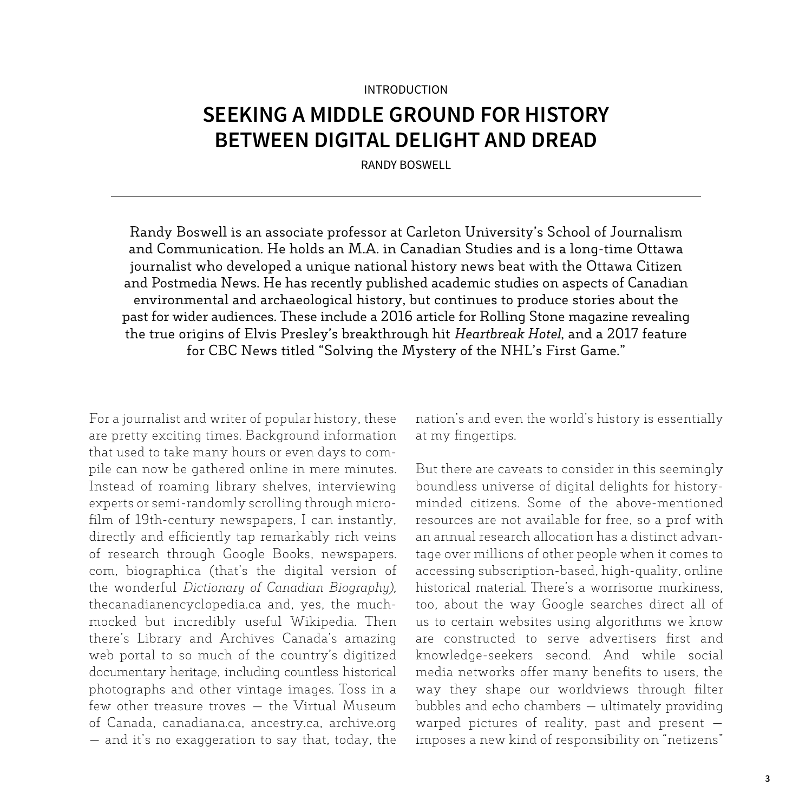#### INTRODUCTION

### **SEEKING A MIDDLE GROUND FOR HISTORY BETWEEN DIGITAL DELIGHT AND DREAD**

RANDY BOSWELL

Randy Boswell is an associate professor at Carleton University's School of Journalism and Communication. He holds an M.A. in Canadian Studies and is a long-time Ottawa journalist who developed a unique national history news beat with the Ottawa Citizen and Postmedia News. He has recently published academic studies on aspects of Canadian environmental and archaeological history, but continues to produce stories about the past for wider audiences. These include a 2016 article for Rolling Stone magazine revealing the true origins of Elvis Presley's breakthrough hit *Heartbreak Hotel*, and a 2017 feature for CBC News titled "Solving the Mystery of the NHL's First Game."

For a journalist and writer of popular history, these are pretty exciting times. Background information that used to take many hours or even days to compile can now be gathered online in mere minutes. Instead of roaming library shelves, interviewing experts or semi-randomly scrolling through microfilm of 19th-century newspapers, I can instantly, directly and efficiently tap remarkably rich veins of research through Google Books, newspapers. com, biographi.ca (that's the digital version of the wonderful *Dictionary of Canadian Biography),*  thecanadianencyclopedia.ca and, yes, the muchmocked but incredibly useful Wikipedia. Then there's Library and Archives Canada's amazing web portal to so much of the country's digitized documentary heritage, including countless historical photographs and other vintage images. Toss in a few other treasure troves — the Virtual Museum of Canada, canadiana.ca, ancestry.ca, archive.org — and it's no exaggeration to say that, today, the nation's and even the world's history is essentially at my fingertips.

But there are caveats to consider in this seemingly boundless universe of digital delights for historyminded citizens. Some of the above-mentioned resources are not available for free, so a prof with an annual research allocation has a distinct advantage over millions of other people when it comes to accessing subscription-based, high-quality, online historical material. There's a worrisome murkiness, too, about the way Google searches direct all of us to certain websites using algorithms we know are constructed to serve advertisers first and knowledge-seekers second. And while social media networks offer many benefits to users, the way they shape our worldviews through filter bubbles and echo chambers — ultimately providing warped pictures of reality, past and present imposes a new kind of responsibility on "netizens"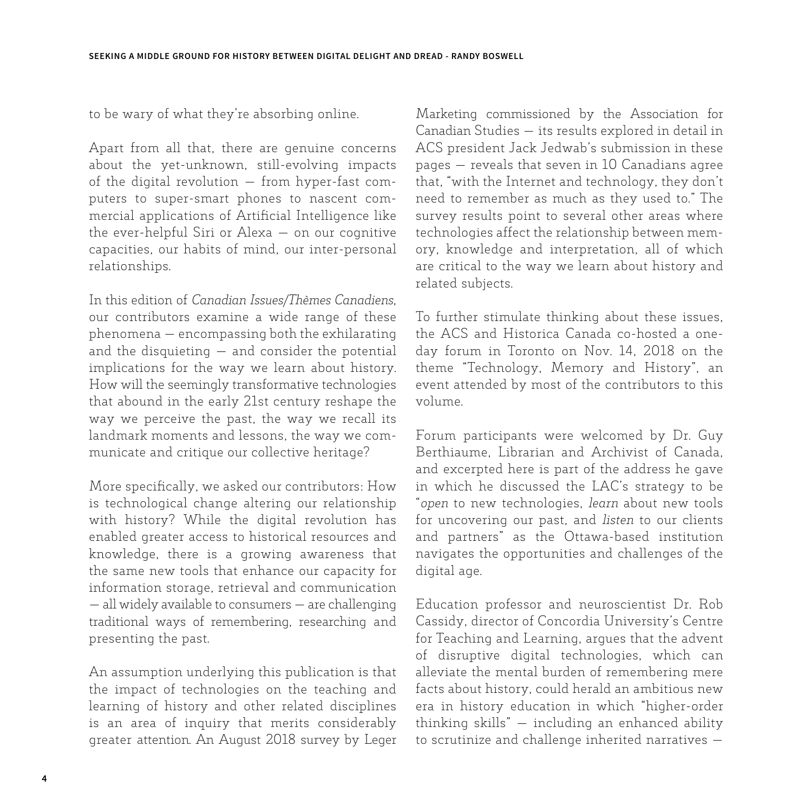to be wary of what they're absorbing online.

Apart from all that, there are genuine concerns about the yet-unknown, still-evolving impacts of the digital revolution — from hyper-fast computers to super-smart phones to nascent commercial applications of Artificial Intelligence like the ever-helpful Siri or Alexa — on our cognitive capacities, our habits of mind, our inter-personal relationships.

In this edition of *Canadian Issues/Thèmes Canadiens*, our contributors examine a wide range of these phenomena — encompassing both the exhilarating and the disquieting — and consider the potential implications for the way we learn about history. How will the seemingly transformative technologies that abound in the early 21st century reshape the way we perceive the past, the way we recall its landmark moments and lessons, the way we communicate and critique our collective heritage?

More specifically, we asked our contributors: How is technological change altering our relationship with history? While the digital revolution has enabled greater access to historical resources and knowledge, there is a growing awareness that the same new tools that enhance our capacity for information storage, retrieval and communication — all widely available to consumers — are challenging traditional ways of remembering, researching and presenting the past.

An assumption underlying this publication is that the impact of technologies on the teaching and learning of history and other related disciplines is an area of inquiry that merits considerably greater attention. An August 2018 survey by Leger Marketing commissioned by the Association for Canadian Studies — its results explored in detail in ACS president Jack Jedwab's submission in these pages — reveals that seven in 10 Canadians agree that, "with the Internet and technology, they don't need to remember as much as they used to." The survey results point to several other areas where technologies affect the relationship between memory, knowledge and interpretation, all of which are critical to the way we learn about history and related subjects.

To further stimulate thinking about these issues, the ACS and Historica Canada co-hosted a oneday forum in Toronto on Nov. 14, 2018 on the theme "Technology, Memory and History", an event attended by most of the contributors to this volume.

Forum participants were welcomed by Dr. Guy Berthiaume, Librarian and Archivist of Canada, and excerpted here is part of the address he gave in which he discussed the LAC's strategy to be "*open* to new technologies, *learn* about new tools for uncovering our past, and *listen* to our clients and partners" as the Ottawa-based institution navigates the opportunities and challenges of the digital age.

Education professor and neuroscientist Dr. Rob Cassidy, director of Concordia University's Centre for Teaching and Learning, argues that the advent of disruptive digital technologies, which can alleviate the mental burden of remembering mere facts about history, could herald an ambitious new era in history education in which "higher-order thinking skills" — including an enhanced ability to scrutinize and challenge inherited narratives —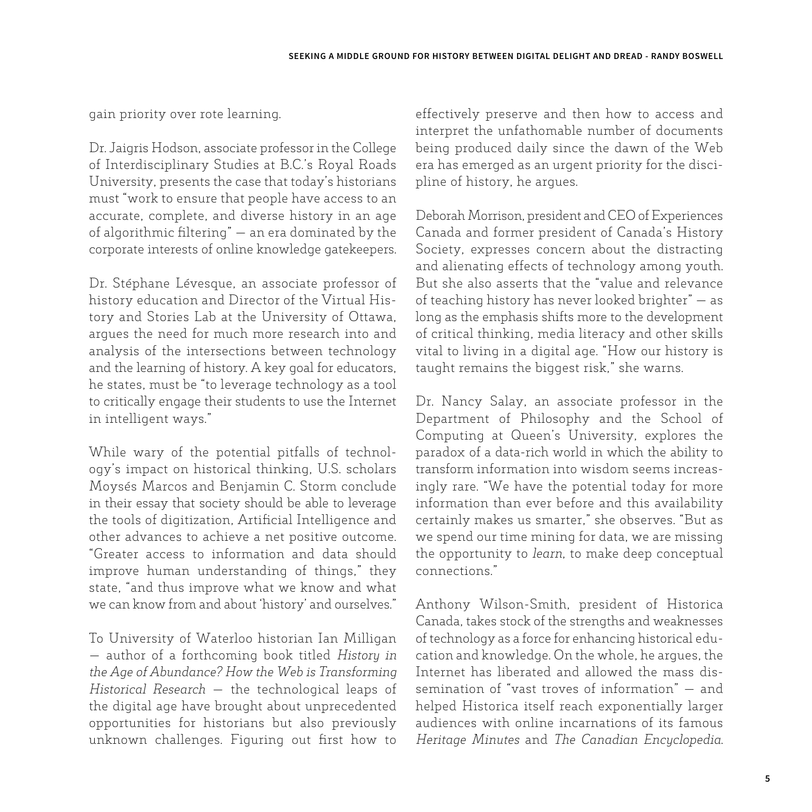gain priority over rote learning.

Dr. Jaigris Hodson, associate professor in the College of Interdisciplinary Studies at B.C.'s Royal Roads University, presents the case that today's historians must "work to ensure that people have access to an accurate, complete, and diverse history in an age of algorithmic filtering" — an era dominated by the corporate interests of online knowledge gatekeepers.

Dr. Stéphane Lévesque, an associate professor of history education and Director of the Virtual History and Stories Lab at the University of Ottawa, argues the need for much more research into and analysis of the intersections between technology and the learning of history. A key goal for educators, he states, must be "to leverage technology as a tool to critically engage their students to use the Internet in intelligent ways."

While wary of the potential pitfalls of technology's impact on historical thinking, U.S. scholars Moysés Marcos and Benjamin C. Storm conclude in their essay that society should be able to leverage the tools of digitization, Artificial Intelligence and other advances to achieve a net positive outcome. "Greater access to information and data should improve human understanding of things," they state, "and thus improve what we know and what we can know from and about 'history' and ourselves."

To University of Waterloo historian Ian Milligan — author of a forthcoming book titled *History in the Age of Abundance? How the Web is Transforming Historical Research* — the technological leaps of the digital age have brought about unprecedented opportunities for historians but also previously unknown challenges. Figuring out first how to effectively preserve and then how to access and interpret the unfathomable number of documents being produced daily since the dawn of the Web era has emerged as an urgent priority for the discipline of history, he argues.

Deborah Morrison, president and CEO of Experiences Canada and former president of Canada's History Society, expresses concern about the distracting and alienating effects of technology among youth. But she also asserts that the "value and relevance of teaching history has never looked brighter" — as long as the emphasis shifts more to the development of critical thinking, media literacy and other skills vital to living in a digital age. "How our history is taught remains the biggest risk," she warns.

Dr. Nancy Salay, an associate professor in the Department of Philosophy and the School of Computing at Queen's University, explores the paradox of a data-rich world in which the ability to transform information into wisdom seems increasingly rare. "We have the potential today for more information than ever before and this availability certainly makes us smarter," she observes. "But as we spend our time mining for data, we are missing the opportunity to *learn*, to make deep conceptual connections."

Anthony Wilson-Smith, president of Historica Canada, takes stock of the strengths and weaknesses of technology as a force for enhancing historical education and knowledge. On the whole, he argues, the Internet has liberated and allowed the mass dissemination of "vast troves of information" — and helped Historica itself reach exponentially larger audiences with online incarnations of its famous *Heritage Minutes* and *The Canadian Encyclopedia*.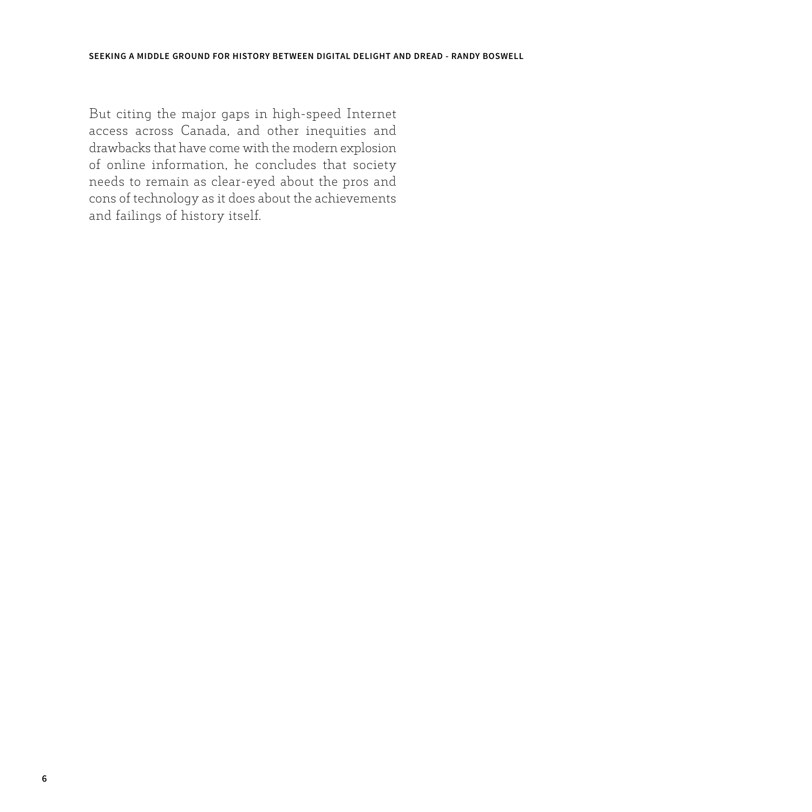But citing the major gaps in high-speed Internet access across Canada, and other inequities and drawbacks that have come with the modern explosion of online information, he concludes that society needs to remain as clear-eyed about the pros and cons of technology as it does about the achievements and failings of history itself.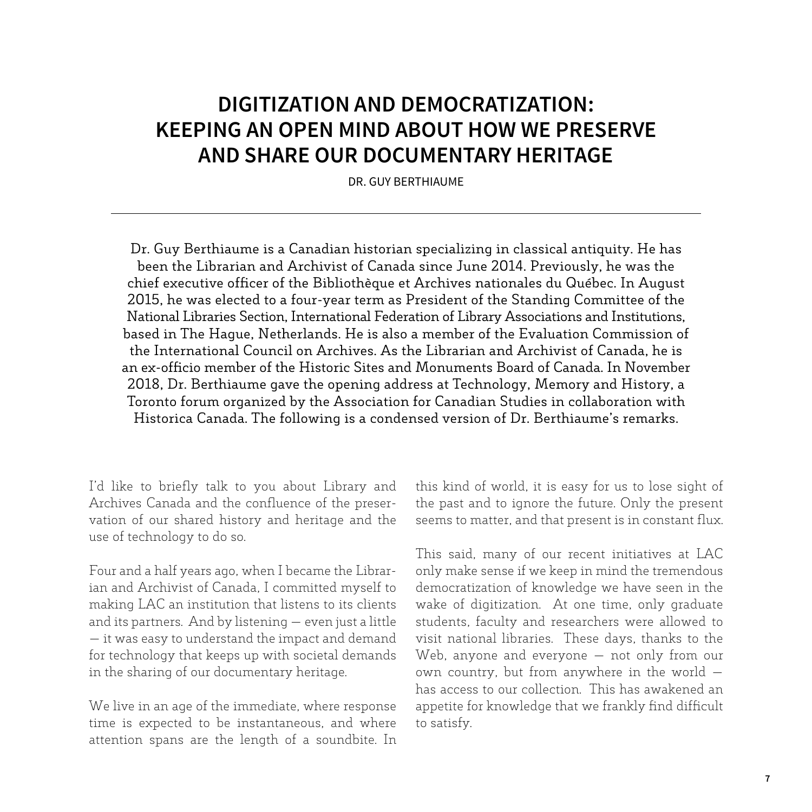# **DIGITIZATION AND DEMOCRATIZATION: KEEPING AN OPEN MIND ABOUT HOW WE PRESERVE AND SHARE OUR DOCUMENTARY HERITAGE**

DR. GUY BERTHIAUME

Dr. Guy Berthiaume is a Canadian historian specializing in classical antiquity. He has been the Librarian and Archivist of Canada since June 2014. Previously, he was the chief executive officer of the Bibliothèque et Archives nationales du Québec. In August 2015, he was elected to a four-year term as President of the Standing Committee of the National Libraries Section, International Federation of Library Associations and Institutions, based in The Hague, Netherlands. He is also a member of the Evaluation Commission of the International Council on Archives. As the Librarian and Archivist of Canada, he is an ex-officio member of the Historic Sites and Monuments Board of Canada. In November 2018, Dr. Berthiaume gave the opening address at Technology, Memory and History, a Toronto forum organized by the Association for Canadian Studies in collaboration with Historica Canada. The following is a condensed version of Dr. Berthiaume's remarks.

I'd like to briefly talk to you about Library and Archives Canada and the confluence of the preservation of our shared history and heritage and the use of technology to do so.

Four and a half years ago, when I became the Librarian and Archivist of Canada, I committed myself to making LAC an institution that listens to its clients and its partners. And by listening — even just a little — it was easy to understand the impact and demand for technology that keeps up with societal demands in the sharing of our documentary heritage.

We live in an age of the immediate, where response time is expected to be instantaneous, and where attention spans are the length of a soundbite. In this kind of world, it is easy for us to lose sight of the past and to ignore the future. Only the present seems to matter, and that present is in constant flux.

This said, many of our recent initiatives at LAC only make sense if we keep in mind the tremendous democratization of knowledge we have seen in the wake of digitization. At one time, only graduate students, faculty and researchers were allowed to visit national libraries. These days, thanks to the Web, anyone and everyone — not only from our own country, but from anywhere in the world has access to our collection. This has awakened an appetite for knowledge that we frankly find difficult to satisfy.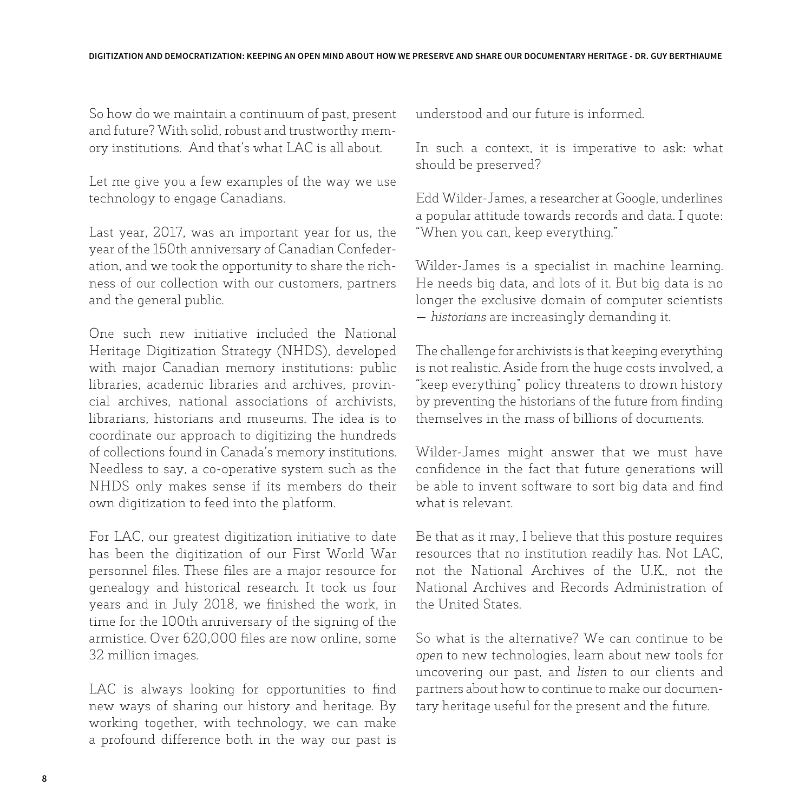So how do we maintain a continuum of past, present and future? With solid, robust and trustworthy memory institutions. And that's what LAC is all about.

Let me give you a few examples of the way we use technology to engage Canadians.

Last year, 2017, was an important year for us, the year of the 150th anniversary of Canadian Confederation, and we took the opportunity to share the richness of our collection with our customers, partners and the general public.

One such new initiative included the National Heritage Digitization Strategy (NHDS), developed with major Canadian memory institutions: public libraries, academic libraries and archives, provincial archives, national associations of archivists, librarians, historians and museums. The idea is to coordinate our approach to digitizing the hundreds of collections found in Canada's memory institutions. Needless to say, a co-operative system such as the NHDS only makes sense if its members do their own digitization to feed into the platform.

For LAC, our greatest digitization initiative to date has been the digitization of our First World War personnel files. These files are a major resource for genealogy and historical research. It took us four years and in July 2018, we finished the work, in time for the 100th anniversary of the signing of the armistice. Over 620,000 files are now online, some 32 million images.

LAC is always looking for opportunities to find new ways of sharing our history and heritage. By working together, with technology, we can make a profound difference both in the way our past is understood and our future is informed.

In such a context, it is imperative to ask: what should be preserved?

Edd Wilder-James, a researcher at Google, underlines a popular attitude towards records and data. I quote: "When you can, keep everything."

Wilder-James is a specialist in machine learning. He needs big data, and lots of it. But big data is no longer the exclusive domain of computer scientists — *historians* are increasingly demanding it.

The challenge for archivists is that keeping everything is not realistic. Aside from the huge costs involved, a "keep everything" policy threatens to drown history by preventing the historians of the future from finding themselves in the mass of billions of documents.

Wilder-James might answer that we must have confidence in the fact that future generations will be able to invent software to sort big data and find what is relevant.

Be that as it may, I believe that this posture requires resources that no institution readily has. Not LAC, not the National Archives of the U.K., not the National Archives and Records Administration of the United States.

So what is the alternative? We can continue to be *open* to new technologies, learn about new tools for uncovering our past, and *listen* to our clients and partners about how to continue to make our documentary heritage useful for the present and the future.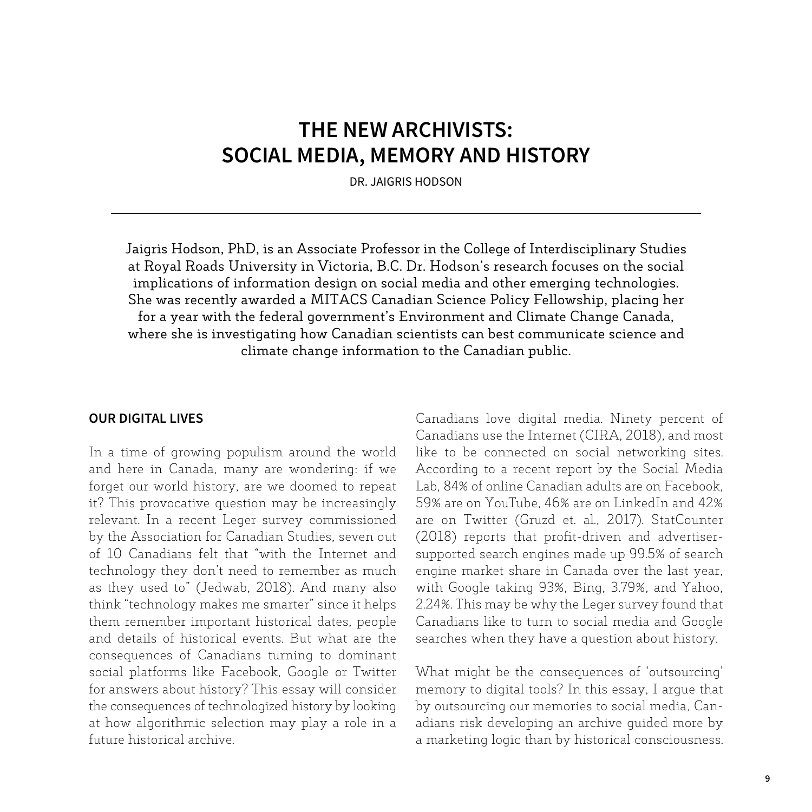### **THE NEW ARCHIVISTS: SOCIAL MEDIA, MEMORY AND HISTORY**

DR. JAIGRIS HODSON

Jaigris Hodson, PhD, is an Associate Professor in the College of Interdisciplinary Studies at Royal Roads University in Victoria, B.C. Dr. Hodson's research focuses on the social implications of information design on social media and other emerging technologies. She was recently awarded a MITACS Canadian Science Policy Fellowship, placing her for a year with the federal government's Environment and Climate Change Canada, where she is investigating how Canadian scientists can best communicate science and climate change information to the Canadian public.

#### **OUR DIGITAL LIVES**

In a time of growing populism around the world and here in Canada, many are wondering: if we forget our world history, are we doomed to repeat it? This provocative question may be increasingly relevant. In a recent Leger survey commissioned by the Association for Canadian Studies, seven out of 10 Canadians felt that "with the Internet and technology they don't need to remember as much as they used to" (Jedwab, 2018). And many also think "technology makes me smarter" since it helps them remember important historical dates, people and details of historical events. But what are the consequences of Canadians turning to dominant social platforms like Facebook, Google or Twitter for answers about history? This essay will consider the consequences of technologized history by looking at how algorithmic selection may play a role in a future historical archive.

Canadians love digital media. Ninety percent of Canadians use the Internet (CIRA, 2018), and most like to be connected on social networking sites. According to a recent report by the Social Media Lab, 84% of online Canadian adults are on Facebook, 59% are on YouTube, 46% are on LinkedIn and 42% are on Twitter (Gruzd et. al., 2017). StatCounter (2018) reports that profit-driven and advertisersupported search engines made up 99.5% of search engine market share in Canada over the last year, with Google taking 93%, Bing, 3.79%, and Yahoo, 2.24%. This may be why the Leger survey found that Canadians like to turn to social media and Google searches when they have a question about history.

What might be the consequences of 'outsourcing' memory to digital tools? In this essay, I argue that by outsourcing our memories to social media, Canadians risk developing an archive guided more by a marketing logic than by historical consciousness.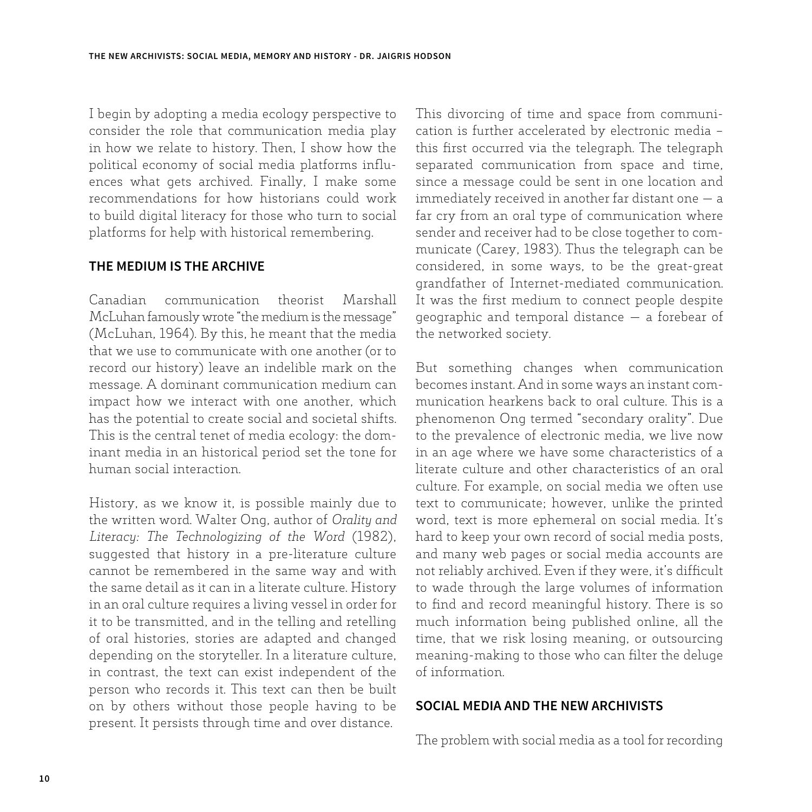I begin by adopting a media ecology perspective to consider the role that communication media play in how we relate to history. Then, I show how the political economy of social media platforms influences what gets archived. Finally, I make some recommendations for how historians could work to build digital literacy for those who turn to social platforms for help with historical remembering.

#### **THE MEDIUM IS THE ARCHIVE**

Canadian communication theorist Marshall McLuhan famously wrote "the medium is the message" (McLuhan, 1964). By this, he meant that the media that we use to communicate with one another (or to record our history) leave an indelible mark on the message. A dominant communication medium can impact how we interact with one another, which has the potential to create social and societal shifts. This is the central tenet of media ecology: the dominant media in an historical period set the tone for human social interaction.

History, as we know it, is possible mainly due to the written word. Walter Ong, author of *Orality and Literacy: The Technologizing of the Word* (1982), suggested that history in a pre-literature culture cannot be remembered in the same way and with the same detail as it can in a literate culture. History in an oral culture requires a living vessel in order for it to be transmitted, and in the telling and retelling of oral histories, stories are adapted and changed depending on the storyteller. In a literature culture, in contrast, the text can exist independent of the person who records it. This text can then be built on by others without those people having to be present. It persists through time and over distance.

This divorcing of time and space from communication is further accelerated by electronic media – this first occurred via the telegraph. The telegraph separated communication from space and time, since a message could be sent in one location and immediately received in another far distant one — a far cry from an oral type of communication where sender and receiver had to be close together to communicate (Carey, 1983). Thus the telegraph can be considered, in some ways, to be the great-great grandfather of Internet-mediated communication. It was the first medium to connect people despite geographic and temporal distance — a forebear of the networked society.

But something changes when communication becomes instant. And in some ways an instant communication hearkens back to oral culture. This is a phenomenon Ong termed "secondary orality". Due to the prevalence of electronic media, we live now in an age where we have some characteristics of a literate culture and other characteristics of an oral culture. For example, on social media we often use text to communicate; however, unlike the printed word, text is more ephemeral on social media. It's hard to keep your own record of social media posts, and many web pages or social media accounts are not reliably archived. Even if they were, it's difficult to wade through the large volumes of information to find and record meaningful history. There is so much information being published online, all the time, that we risk losing meaning, or outsourcing meaning-making to those who can filter the deluge of information.

#### **SOCIAL MEDIA AND THE NEW ARCHIVISTS**

The problem with social media as a tool for recording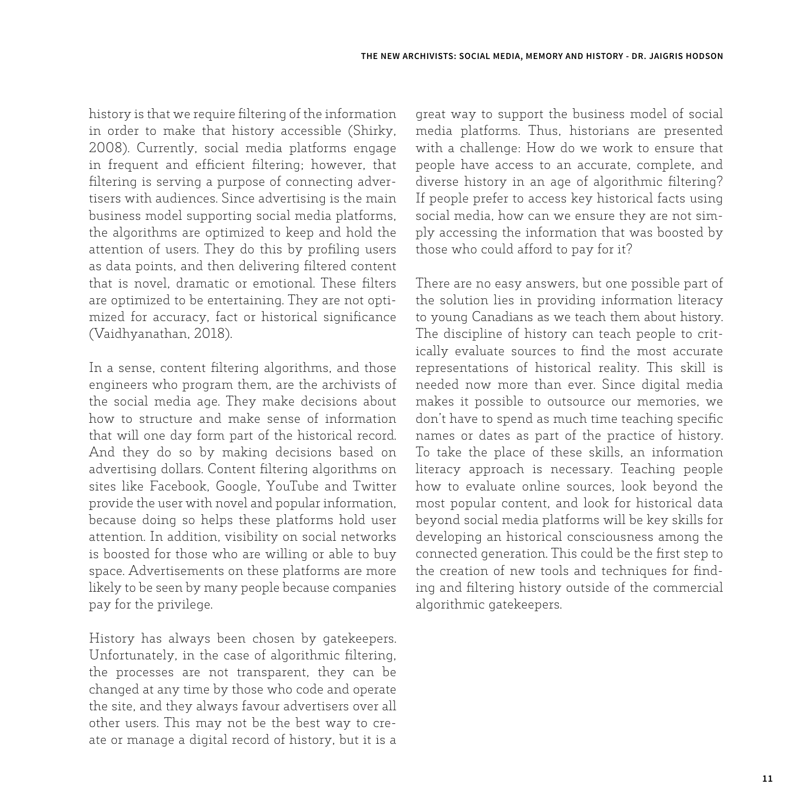history is that we require filtering of the information in order to make that history accessible (Shirky, 2008). Currently, social media platforms engage in frequent and efficient filtering; however, that filtering is serving a purpose of connecting advertisers with audiences. Since advertising is the main business model supporting social media platforms, the algorithms are optimized to keep and hold the attention of users. They do this by profiling users as data points, and then delivering filtered content that is novel, dramatic or emotional. These filters are optimized to be entertaining. They are not optimized for accuracy, fact or historical significance (Vaidhyanathan, 2018).

In a sense, content filtering algorithms, and those engineers who program them, are the archivists of the social media age. They make decisions about how to structure and make sense of information that will one day form part of the historical record. And they do so by making decisions based on advertising dollars. Content filtering algorithms on sites like Facebook, Google, YouTube and Twitter provide the user with novel and popular information, because doing so helps these platforms hold user attention. In addition, visibility on social networks is boosted for those who are willing or able to buy space. Advertisements on these platforms are more likely to be seen by many people because companies pay for the privilege.

History has always been chosen by gatekeepers. Unfortunately, in the case of algorithmic filtering, the processes are not transparent, they can be changed at any time by those who code and operate the site, and they always favour advertisers over all other users. This may not be the best way to create or manage a digital record of history, but it is a

great way to support the business model of social media platforms. Thus, historians are presented with a challenge: How do we work to ensure that people have access to an accurate, complete, and diverse history in an age of algorithmic filtering? If people prefer to access key historical facts using social media, how can we ensure they are not simply accessing the information that was boosted by those who could afford to pay for it?

There are no easy answers, but one possible part of the solution lies in providing information literacy to young Canadians as we teach them about history. The discipline of history can teach people to critically evaluate sources to find the most accurate representations of historical reality. This skill is needed now more than ever. Since digital media makes it possible to outsource our memories, we don't have to spend as much time teaching specific names or dates as part of the practice of history. To take the place of these skills, an information literacy approach is necessary. Teaching people how to evaluate online sources, look beyond the most popular content, and look for historical data beyond social media platforms will be key skills for developing an historical consciousness among the connected generation. This could be the first step to the creation of new tools and techniques for finding and filtering history outside of the commercial algorithmic gatekeepers.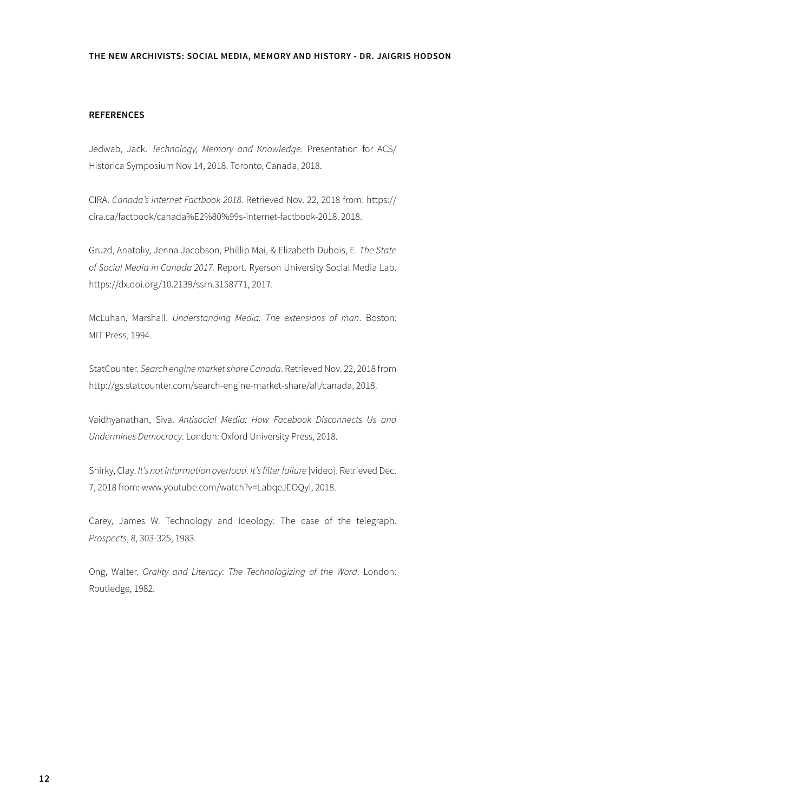#### **REFERENCES**

Jedwab, Jack. *Technology, Memory and Knowledge*. Presentation for ACS/ Historica Symposium Nov 14, 2018. Toronto, Canada, 2018.

CIRA. *Canada's Internet Factbook 2018*. Retrieved Nov. 22, 2018 from: https:// cira.ca/factbook/canada%E2%80%99s-internet-factbook-2018, 2018.

Gruzd, Anatoliy, Jenna Jacobson, Phillip Mai, & Elizabeth Dubois, E. *The State of Social Media in Canada 2017.* Report. Ryerson University Social Media Lab. https://dx.doi.org/10.2139/ssrn.3158771, 2017.

McLuhan, Marshall. *Understanding Media: The extensions of man*. Boston: MIT Press, 1994.

StatCounter. *Search engine market share Canada*. Retrieved Nov. 22, 2018 from http://gs.statcounter.com/search-engine-market-share/all/canada, 2018.

Vaidhyanathan, Siva. *Antisocial Media: How Facebook Disconnects Us and Undermines Democracy*. London: Oxford University Press, 2018.

Shirky, Clay. *It's not information overload. It's filter failure* [video]. Retrieved Dec. 7, 2018 from: www.youtube.com/watch?v=LabqeJEOQyI, 2018.

Carey, James W. Technology and Ideology: The case of the telegraph. *Prospects*, 8, 303-325, 1983.

Ong, Walter. *Orality and Literacy: The Technologizing of the Word*. London: Routledge, 1982.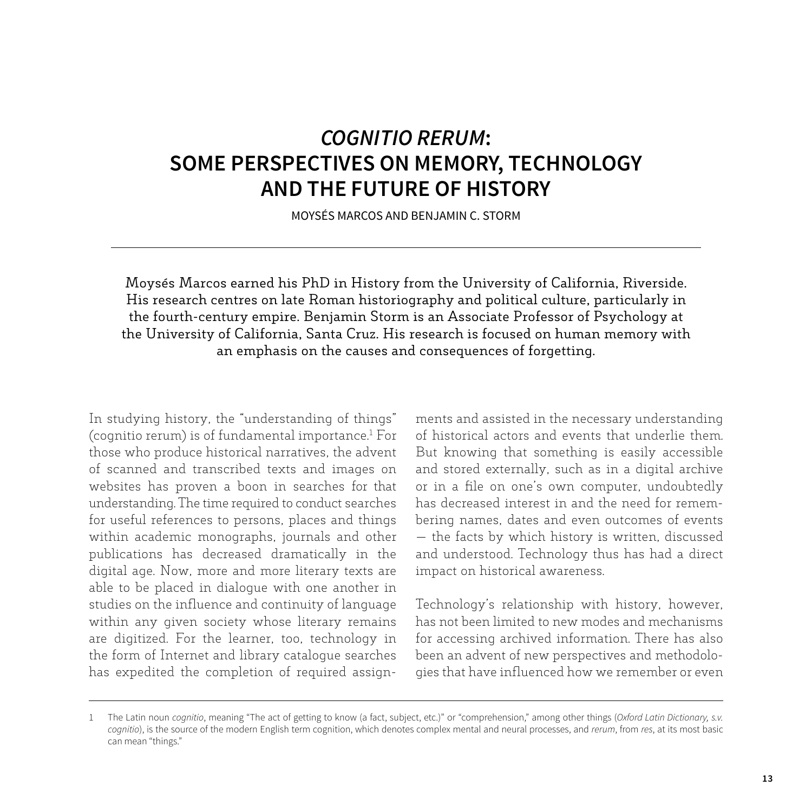# *COGNITIO RERUM***: SOME PERSPECTIVES ON MEMORY, TECHNOLOGY AND THE FUTURE OF HISTORY**

MOYSÉS MARCOS AND BENJAMIN C. STORM

Moysés Marcos earned his PhD in History from the University of California, Riverside. His research centres on late Roman historiography and political culture, particularly in the fourth-century empire. Benjamin Storm is an Associate Professor of Psychology at the University of California, Santa Cruz. His research is focused on human memory with an emphasis on the causes and consequences of forgetting.

In studying history, the "understanding of things" (cognitio rerum) is of fundamental importance.1 For those who produce historical narratives, the advent of scanned and transcribed texts and images on websites has proven a boon in searches for that understanding. The time required to conduct searches for useful references to persons, places and things within academic monographs, journals and other publications has decreased dramatically in the digital age. Now, more and more literary texts are able to be placed in dialogue with one another in studies on the influence and continuity of language within any given society whose literary remains are digitized. For the learner, too, technology in the form of Internet and library catalogue searches has expedited the completion of required assignments and assisted in the necessary understanding of historical actors and events that underlie them. But knowing that something is easily accessible and stored externally, such as in a digital archive or in a file on one's own computer, undoubtedly has decreased interest in and the need for remembering names, dates and even outcomes of events — the facts by which history is written, discussed and understood. Technology thus has had a direct impact on historical awareness.

Technology's relationship with history, however, has not been limited to new modes and mechanisms for accessing archived information. There has also been an advent of new perspectives and methodologies that have influenced how we remember or even

<sup>1</sup> The Latin noun *cognitio*, meaning "The act of getting to know (a fact, subject, etc.)" or "comprehension," among other things (*Oxford Latin Dictionary, s.v. cognitio*), is the source of the modern English term cognition, which denotes complex mental and neural processes, and *rerum*, from *res*, at its most basic can mean "things."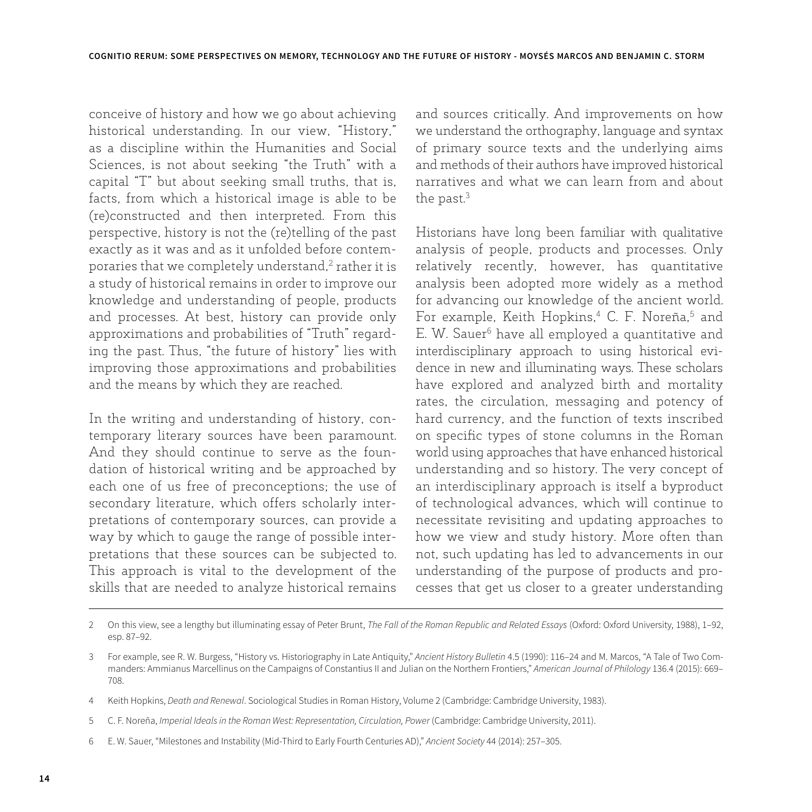conceive of history and how we go about achieving historical understanding. In our view, "History," as a discipline within the Humanities and Social Sciences, is not about seeking "the Truth" with a capital "T" but about seeking small truths, that is, facts, from which a historical image is able to be (re)constructed and then interpreted. From this perspective, history is not the (re)telling of the past exactly as it was and as it unfolded before contemporaries that we completely understand,<sup>2</sup> rather it is a study of historical remains in order to improve our knowledge and understanding of people, products and processes. At best, history can provide only approximations and probabilities of "Truth" regarding the past. Thus, "the future of history" lies with improving those approximations and probabilities and the means by which they are reached.

In the writing and understanding of history, contemporary literary sources have been paramount. And they should continue to serve as the foundation of historical writing and be approached by each one of us free of preconceptions; the use of secondary literature, which offers scholarly interpretations of contemporary sources, can provide a way by which to gauge the range of possible interpretations that these sources can be subjected to. This approach is vital to the development of the skills that are needed to analyze historical remains and sources critically. And improvements on how we understand the orthography, language and syntax of primary source texts and the underlying aims and methods of their authors have improved historical narratives and what we can learn from and about the past.<sup>3</sup>

Historians have long been familiar with qualitative analysis of people, products and processes. Only relatively recently, however, has quantitative analysis been adopted more widely as a method for advancing our knowledge of the ancient world. For example, Keith Hopkins,<sup>4</sup> C. F. Noreña,<sup>5</sup> and E. W. Sauer<sup>6</sup> have all employed a quantitative and interdisciplinary approach to using historical evidence in new and illuminating ways. These scholars have explored and analyzed birth and mortality rates, the circulation, messaging and potency of hard currency, and the function of texts inscribed on specific types of stone columns in the Roman world using approaches that have enhanced historical understanding and so history. The very concept of an interdisciplinary approach is itself a byproduct of technological advances, which will continue to necessitate revisiting and updating approaches to how we view and study history. More often than not, such updating has led to advancements in our understanding of the purpose of products and processes that get us closer to a greater understanding

<sup>2</sup> On this view, see a lengthy but illuminating essay of Peter Brunt, *The Fall of the Roman Republic and Related Essays* (Oxford: Oxford University, 1988), 1–92, esp. 87–92.

<sup>3</sup> For example, see R. W. Burgess, "History vs. Historiography in Late Antiquity," *Ancient History Bulletin* 4.5 (1990): 116–24 and M. Marcos, "A Tale of Two Commanders: Ammianus Marcellinus on the Campaigns of Constantius II and Julian on the Northern Frontiers," *American Journal of Philology* 136.4 (2015): 669– 708.

<sup>4</sup> Keith Hopkins, *Death and Renewal*. Sociological Studies in Roman History, Volume 2 (Cambridge: Cambridge University, 1983).

<sup>5</sup> C. F. Noreña, *Imperial Ideals in the Roman West: Representation, Circulation, Power* (Cambridge: Cambridge University, 2011).

<sup>6</sup> E. W. Sauer, "Milestones and Instability (Mid-Third to Early Fourth Centuries AD)," *Ancient Society* 44 (2014): 257–305.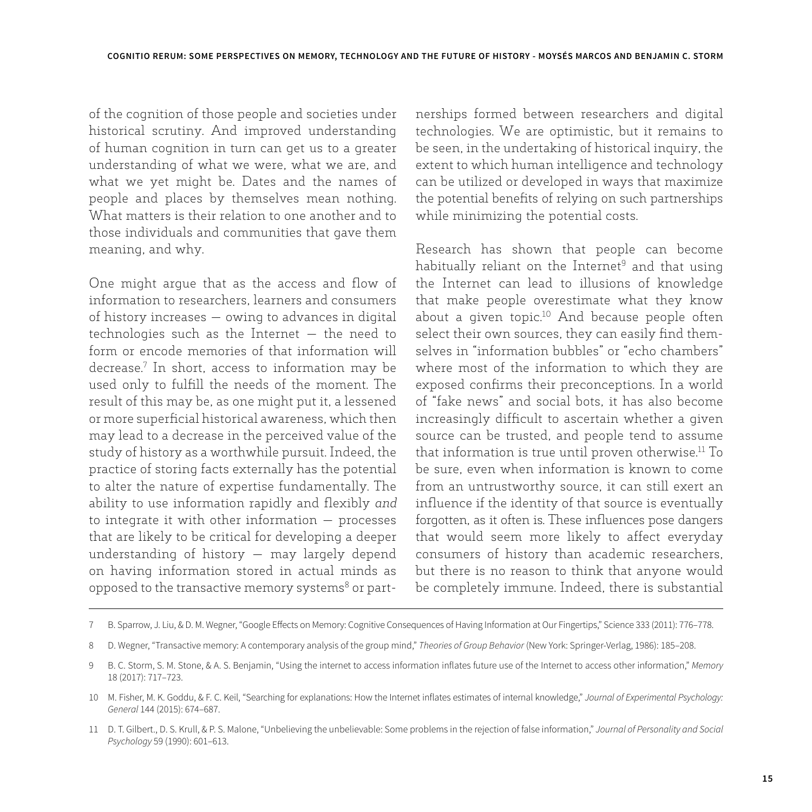of the cognition of those people and societies under historical scrutiny. And improved understanding of human cognition in turn can get us to a greater understanding of what we were, what we are, and what we yet might be. Dates and the names of people and places by themselves mean nothing. What matters is their relation to one another and to those individuals and communities that gave them meaning, and why.

One might argue that as the access and flow of information to researchers, learners and consumers of history increases — owing to advances in digital technologies such as the Internet — the need to form or encode memories of that information will decrease.7 In short, access to information may be used only to fulfill the needs of the moment. The result of this may be, as one might put it, a lessened or more superficial historical awareness, which then may lead to a decrease in the perceived value of the study of history as a worthwhile pursuit. Indeed, the practice of storing facts externally has the potential to alter the nature of expertise fundamentally. The ability to use information rapidly and flexibly *and* to integrate it with other information — processes that are likely to be critical for developing a deeper understanding of history — may largely depend on having information stored in actual minds as opposed to the transactive memory systems<sup>8</sup> or partnerships formed between researchers and digital technologies. We are optimistic, but it remains to be seen, in the undertaking of historical inquiry, the extent to which human intelligence and technology can be utilized or developed in ways that maximize the potential benefits of relying on such partnerships while minimizing the potential costs.

Research has shown that people can become habitually reliant on the Internet<sup>9</sup> and that using the Internet can lead to illusions of knowledge that make people overestimate what they know about a given topic.10 And because people often select their own sources, they can easily find themselves in "information bubbles" or "echo chambers" where most of the information to which they are exposed confirms their preconceptions. In a world of "fake news" and social bots, it has also become increasingly difficult to ascertain whether a given source can be trusted, and people tend to assume that information is true until proven otherwise.11 To be sure, even when information is known to come from an untrustworthy source, it can still exert an influence if the identity of that source is eventually forgotten, as it often is. These influences pose dangers that would seem more likely to affect everyday consumers of history than academic researchers, but there is no reason to think that anyone would be completely immune. Indeed, there is substantial

<sup>7</sup> B. Sparrow, J. Liu, & D. M. Wegner, "Google Effects on Memory: Cognitive Consequences of Having Information at Our Fingertips," Science 333 (2011): 776–778.

<sup>8</sup> D. Wegner, "Transactive memory: A contemporary analysis of the group mind," *Theories of Group Behavior* (New York: Springer-Verlag, 1986): 185–208.

<sup>9</sup> B. C. Storm, S. M. Stone, & A. S. Benjamin, "Using the internet to access information inflates future use of the Internet to access other information," *Memory* 18 (2017): 717–723.

<sup>10</sup> M. Fisher, M. K. Goddu, & F. C. Keil, "Searching for explanations: How the Internet inflates estimates of internal knowledge," *Journal of Experimental Psychology: General* 144 (2015): 674–687.

<sup>11</sup> D. T. Gilbert., D. S. Krull, & P. S. Malone, "Unbelieving the unbelievable: Some problems in the rejection of false information," *Journal of Personality and Social Psychology* 59 (1990): 601–613.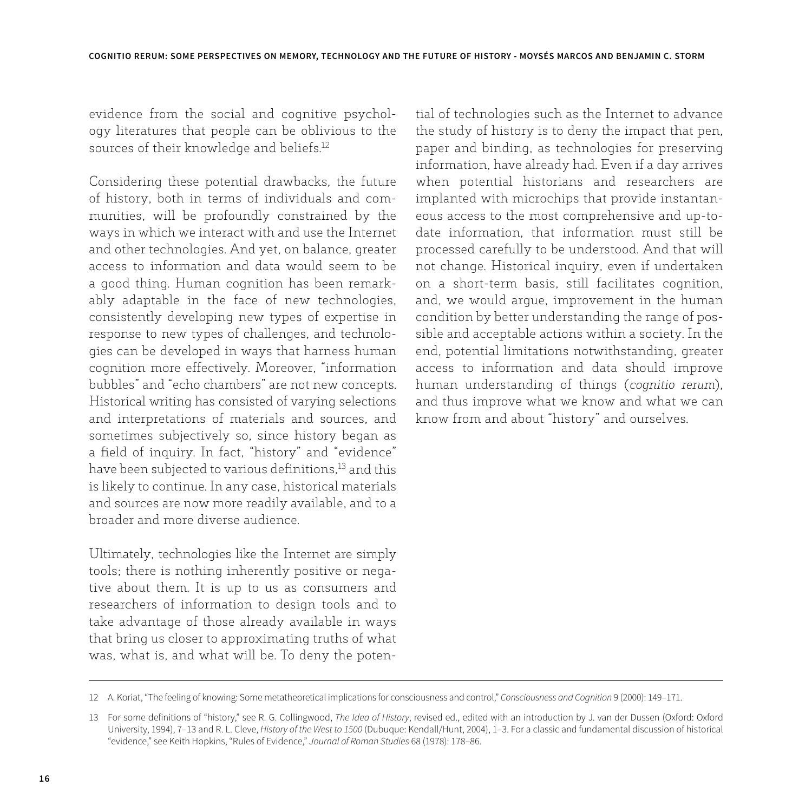evidence from the social and cognitive psychology literatures that people can be oblivious to the sources of their knowledge and beliefs.12

Considering these potential drawbacks, the future of history, both in terms of individuals and communities, will be profoundly constrained by the ways in which we interact with and use the Internet and other technologies. And yet, on balance, greater access to information and data would seem to be a good thing. Human cognition has been remarkably adaptable in the face of new technologies, consistently developing new types of expertise in response to new types of challenges, and technologies can be developed in ways that harness human cognition more effectively. Moreover, "information bubbles" and "echo chambers" are not new concepts. Historical writing has consisted of varying selections and interpretations of materials and sources, and sometimes subjectively so, since history began as a field of inquiry. In fact, "history" and "evidence" have been subjected to various definitions,13 and this is likely to continue. In any case, historical materials and sources are now more readily available, and to a broader and more diverse audience.

Ultimately, technologies like the Internet are simply tools; there is nothing inherently positive or negative about them. It is up to us as consumers and researchers of information to design tools and to take advantage of those already available in ways that bring us closer to approximating truths of what was, what is, and what will be. To deny the potential of technologies such as the Internet to advance the study of history is to deny the impact that pen, paper and binding, as technologies for preserving information, have already had. Even if a day arrives when potential historians and researchers are implanted with microchips that provide instantaneous access to the most comprehensive and up-todate information, that information must still be processed carefully to be understood. And that will not change. Historical inquiry, even if undertaken on a short-term basis, still facilitates cognition, and, we would argue, improvement in the human condition by better understanding the range of possible and acceptable actions within a society. In the end, potential limitations notwithstanding, greater access to information and data should improve human understanding of things (*cognitio rerum*), and thus improve what we know and what we can know from and about "history" and ourselves.

<sup>12</sup> A. Koriat, "The feeling of knowing: Some metatheoretical implications for consciousness and control," *Consciousness and Cognition* 9 (2000): 149–171.

<sup>13</sup> For some definitions of "history," see R. G. Collingwood, *The Idea of History*, revised ed., edited with an introduction by J. van der Dussen (Oxford: Oxford University, 1994), 7–13 and R. L. Cleve, *History of the West to 1500* (Dubuque: Kendall/Hunt, 2004), 1–3. For a classic and fundamental discussion of historical "evidence," see Keith Hopkins, "Rules of Evidence," *Journal of Roman Studies* 68 (1978): 178–86.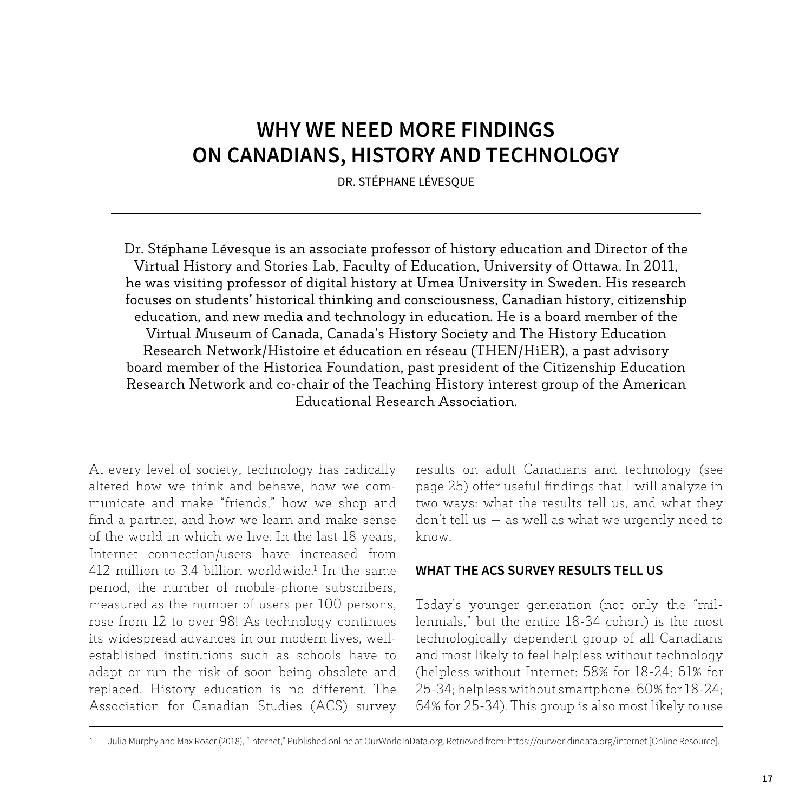### **WHY WE NEED MORE FINDINGS ON CANADIANS, HISTORY AND TECHNOLOGY**

DR. STÉPHANE LÉVESQUE

Dr. Stéphane Lévesque is an associate professor of history education and Director of the Virtual History and Stories Lab, Faculty of Education, University of Ottawa. In 2011, he was visiting professor of digital history at Umea University in Sweden. His research focuses on students' historical thinking and consciousness, Canadian history, citizenship education, and new media and technology in education. He is a board member of the Virtual Museum of Canada, Canada's History Society and The History Education Research Network/Histoire et éducation en réseau (THEN/HiER), a past advisory board member of the Historica Foundation, past president of the Citizenship Education Research Network and co-chair of the Teaching History interest group of the American Educational Research Association.

At every level of society, technology has radically altered how we think and behave, how we communicate and make "friends," how we shop and find a partner, and how we learn and make sense of the world in which we live. In the last 18 years, Internet connection/users have increased from 412 million to 3.4 billion worldwide.<sup>1</sup> In the same period, the number of mobile-phone subscribers, measured as the number of users per 100 persons, rose from 12 to over 98! As technology continues its widespread advances in our modern lives, wellestablished institutions such as schools have to adapt or run the risk of soon being obsolete and replaced. History education is no different. The Association for Canadian Studies (ACS) survey

results on adult Canadians and technology (see page 25) offer useful findings that I will analyze in two ways: what the results tell us, and what they don't tell us — as well as what we urgently need to know.

#### **WHAT THE ACS SURVEY RESULTS TELL US**

Today's younger generation (not only the "millennials," but the entire 18-34 cohort) is the most technologically dependent group of all Canadians and most likely to feel helpless without technology (helpless without Internet: 58% for 18-24; 61% for 25-34; helpless without smartphone: 60% for 18-24; 64% for 25-34). This group is also most likely to use

<sup>1</sup> Julia Murphy and Max Roser (2018), "Internet," Published online at OurWorldInData.org. Retrieved from: https://ourworldindata.org/internet [Online Resource].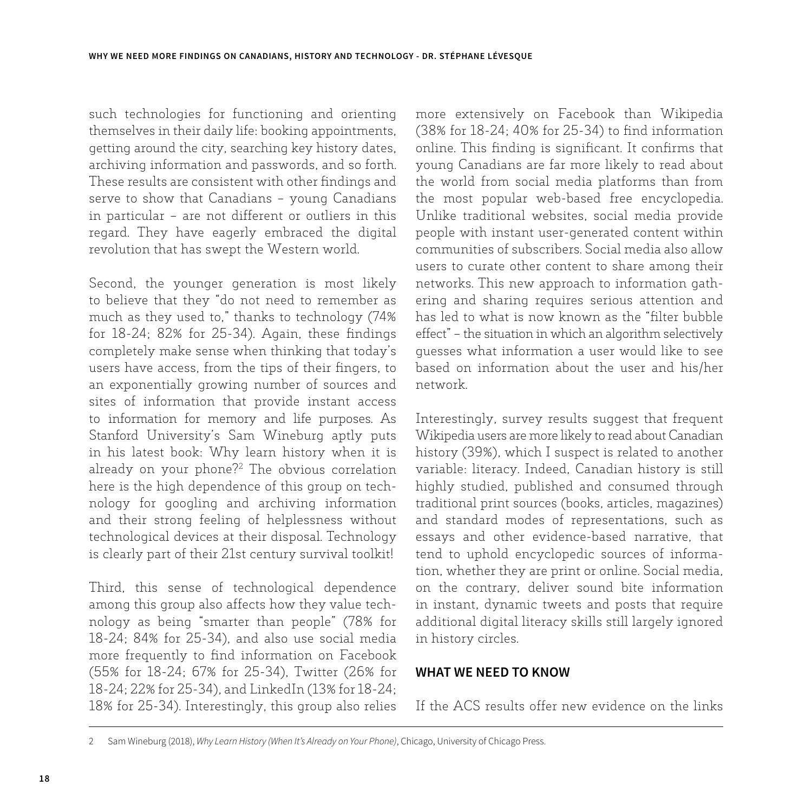such technologies for functioning and orienting themselves in their daily life: booking appointments, getting around the city, searching key history dates, archiving information and passwords, and so forth. These results are consistent with other findings and serve to show that Canadians – young Canadians in particular – are not different or outliers in this regard. They have eagerly embraced the digital revolution that has swept the Western world.

Second, the younger generation is most likely to believe that they "do not need to remember as much as they used to," thanks to technology (74% for 18-24; 82% for 25-34). Again, these findings completely make sense when thinking that today's users have access, from the tips of their fingers, to an exponentially growing number of sources and sites of information that provide instant access to information for memory and life purposes. As Stanford University's Sam Wineburg aptly puts in his latest book: Why learn history when it is already on your phone?2 The obvious correlation here is the high dependence of this group on technology for googling and archiving information and their strong feeling of helplessness without technological devices at their disposal. Technology is clearly part of their 21st century survival toolkit!

Third, this sense of technological dependence among this group also affects how they value technology as being "smarter than people" (78% for 18-24; 84% for 25-34), and also use social media more frequently to find information on Facebook (55% for 18-24; 67% for 25-34), Twitter (26% for 18-24; 22% for 25-34), and LinkedIn (13% for 18-24; 18% for 25-34). Interestingly, this group also relies

more extensively on Facebook than Wikipedia (38% for 18-24; 40% for 25-34) to find information online. This finding is significant. It confirms that young Canadians are far more likely to read about the world from social media platforms than from the most popular web-based free encyclopedia. Unlike traditional websites, social media provide people with instant user-generated content within communities of subscribers. Social media also allow users to curate other content to share among their networks. This new approach to information gathering and sharing requires serious attention and has led to what is now known as the "filter bubble effect" – the situation in which an algorithm selectively guesses what information a user would like to see based on information about the user and his/her network.

Interestingly, survey results suggest that frequent Wikipedia users are more likely to read about Canadian history (39%), which I suspect is related to another variable: literacy. Indeed, Canadian history is still highly studied, published and consumed through traditional print sources (books, articles, magazines) and standard modes of representations, such as essays and other evidence-based narrative, that tend to uphold encyclopedic sources of information, whether they are print or online. Social media, on the contrary, deliver sound bite information in instant, dynamic tweets and posts that require additional digital literacy skills still largely ignored in history circles.

#### **WHAT WE NEED TO KNOW**

If the ACS results offer new evidence on the links

<sup>2</sup> Sam Wineburg (2018), *Why Learn History (When It's Already on Your Phone)*, Chicago, University of Chicago Press.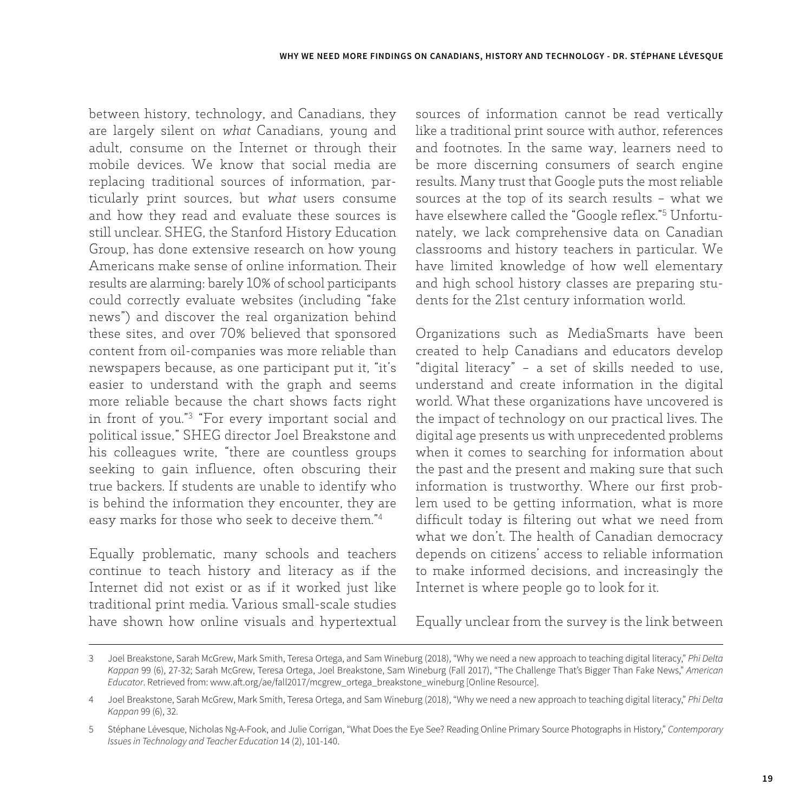between history, technology, and Canadians, they are largely silent on *what* Canadians, young and adult, consume on the Internet or through their mobile devices. We know that social media are replacing traditional sources of information, particularly print sources, but *what* users consume and how they read and evaluate these sources is still unclear. SHEG, the Stanford History Education Group, has done extensive research on how young Americans make sense of online information. Their results are alarming: barely 10% of school participants could correctly evaluate websites (including "fake news") and discover the real organization behind these sites, and over 70% believed that sponsored content from oil-companies was more reliable than newspapers because, as one participant put it, "it's easier to understand with the graph and seems more reliable because the chart shows facts right in front of you."3 "For every important social and political issue," SHEG director Joel Breakstone and his colleagues write, "there are countless groups seeking to gain influence, often obscuring their true backers. If students are unable to identify who is behind the information they encounter, they are easy marks for those who seek to deceive them."4

Equally problematic, many schools and teachers continue to teach history and literacy as if the Internet did not exist or as if it worked just like traditional print media. Various small-scale studies have shown how online visuals and hypertextual sources of information cannot be read vertically like a traditional print source with author, references and footnotes. In the same way, learners need to be more discerning consumers of search engine results. Many trust that Google puts the most reliable sources at the top of its search results – what we have elsewhere called the "Google reflex."5 Unfortunately, we lack comprehensive data on Canadian classrooms and history teachers in particular. We have limited knowledge of how well elementary and high school history classes are preparing students for the 21st century information world.

Organizations such as MediaSmarts have been created to help Canadians and educators develop "digital literacy" – a set of skills needed to use, understand and create information in the digital world. What these organizations have uncovered is the impact of technology on our practical lives. The digital age presents us with unprecedented problems when it comes to searching for information about the past and the present and making sure that such information is trustworthy. Where our first problem used to be getting information, what is more difficult today is filtering out what we need from what we don't. The health of Canadian democracy depends on citizens' access to reliable information to make informed decisions, and increasingly the Internet is where people go to look for it.

Equally unclear from the survey is the link between

<sup>3</sup> Joel Breakstone, Sarah McGrew, Mark Smith, Teresa Ortega, and Sam Wineburg (2018), "Why we need a new approach to teaching digital literacy," *Phi Delta Kappan* 99 (6), 27-32; Sarah McGrew, Teresa Ortega, Joel Breakstone, Sam Wineburg (Fall 2017), "The Challenge That's Bigger Than Fake News," *American Educator*. Retrieved from: www.aft.org/ae/fall2017/mcgrew\_ortega\_breakstone\_wineburg [Online Resource].

<sup>4</sup> Joel Breakstone, Sarah McGrew, Mark Smith, Teresa Ortega, and Sam Wineburg (2018), "Why we need a new approach to teaching digital literacy," *Phi Delta Kappan* 99 (6), 32.

<sup>5</sup> Stéphane Lévesque, Nicholas Ng-A-Fook, and Julie Corrigan, "What Does the Eye See? Reading Online Primary Source Photographs in History," *Contemporary Issues in Technology and Teacher Education* 14 (2), 101-140.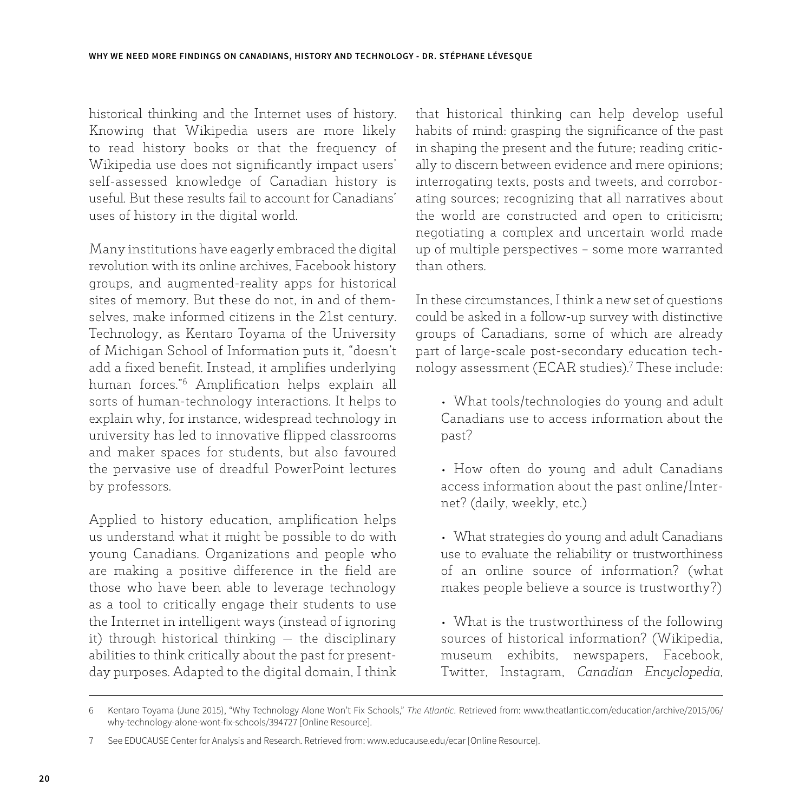historical thinking and the Internet uses of history. Knowing that Wikipedia users are more likely to read history books or that the frequency of Wikipedia use does not significantly impact users' self-assessed knowledge of Canadian history is useful. But these results fail to account for Canadians' uses of history in the digital world.

Many institutions have eagerly embraced the digital revolution with its online archives, Facebook history groups, and augmented-reality apps for historical sites of memory. But these do not, in and of themselves, make informed citizens in the 21st century. Technology, as Kentaro Toyama of the University of Michigan School of Information puts it, "doesn't add a fixed benefit. Instead, it amplifies underlying human forces."6 Amplification helps explain all sorts of human-technology interactions. It helps to explain why, for instance, widespread technology in university has led to innovative flipped classrooms and maker spaces for students, but also favoured the pervasive use of dreadful PowerPoint lectures by professors.

Applied to history education, amplification helps us understand what it might be possible to do with young Canadians. Organizations and people who are making a positive difference in the field are those who have been able to leverage technology as a tool to critically engage their students to use the Internet in intelligent ways (instead of ignoring it) through historical thinking — the disciplinary abilities to think critically about the past for presentday purposes. Adapted to the digital domain, I think

that historical thinking can help develop useful habits of mind: grasping the significance of the past in shaping the present and the future; reading critically to discern between evidence and mere opinions; interrogating texts, posts and tweets, and corroborating sources; recognizing that all narratives about the world are constructed and open to criticism; negotiating a complex and uncertain world made up of multiple perspectives – some more warranted than others.

In these circumstances, I think a new set of questions could be asked in a follow-up survey with distinctive groups of Canadians, some of which are already part of large-scale post-secondary education technology assessment (ECAR studies).7 These include:

- What tools/technologies do young and adult Canadians use to access information about the past?
- How often do young and adult Canadians access information about the past online/Internet? (daily, weekly, etc.)
- What strategies do young and adult Canadians use to evaluate the reliability or trustworthiness of an online source of information? (what makes people believe a source is trustworthy?)
- What is the trustworthiness of the following sources of historical information? (Wikipedia, museum exhibits, newspapers, Facebook, Twitter, Instagram, *Canadian Encyclopedia*,

<sup>6</sup> Kentaro Toyama (June 2015), "Why Technology Alone Won't Fix Schools," *The Atlantic*. Retrieved from: www.theatlantic.com/education/archive/2015/06/ why-technology-alone-wont-fix-schools/394727 [Online Resource].

<sup>7</sup> See EDUCAUSE Center for Analysis and Research. Retrieved from: www.educause.edu/ecar [Online Resource].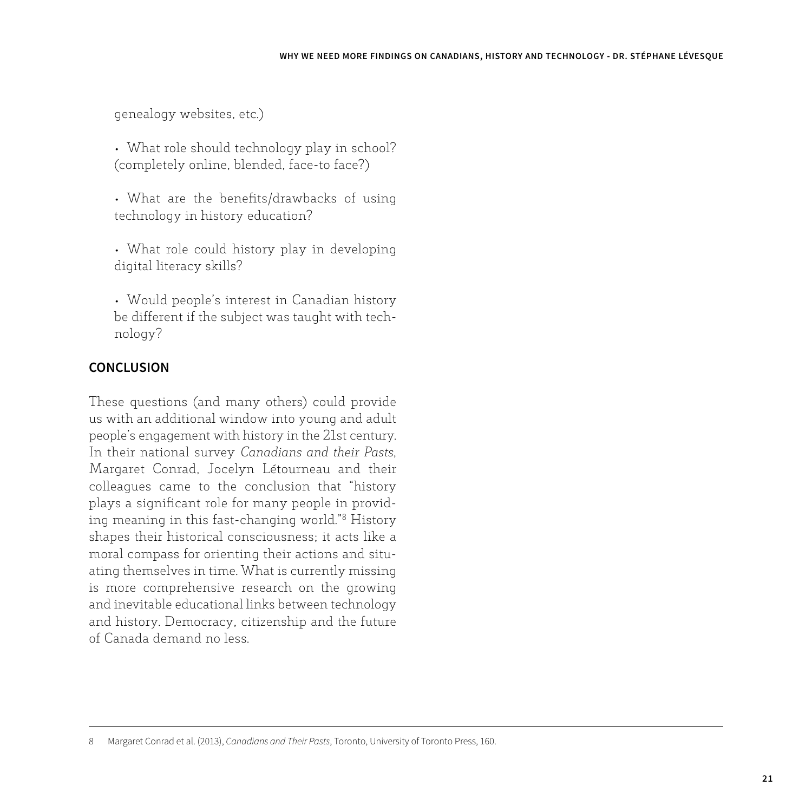genealogy websites, etc.)

• What role should technology play in school? (completely online, blended, face-to face?)

• What are the benefits/drawbacks of using technology in history education?

• What role could history play in developing digital literacy skills?

• Would people's interest in Canadian history be different if the subject was taught with technology?

### **CONCLUSION**

These questions (and many others) could provide us with an additional window into young and adult people's engagement with history in the 21st century. In their national survey *Canadians and their Pasts*, Margaret Conrad, Jocelyn Létourneau and their colleagues came to the conclusion that "history plays a significant role for many people in providing meaning in this fast-changing world."8 History shapes their historical consciousness; it acts like a moral compass for orienting their actions and situating themselves in time. What is currently missing is more comprehensive research on the growing and inevitable educational links between technology and history. Democracy, citizenship and the future of Canada demand no less.

<sup>8</sup> Margaret Conrad et al. (2013), *Canadians and Their Pasts*, Toronto, University of Toronto Press, 160.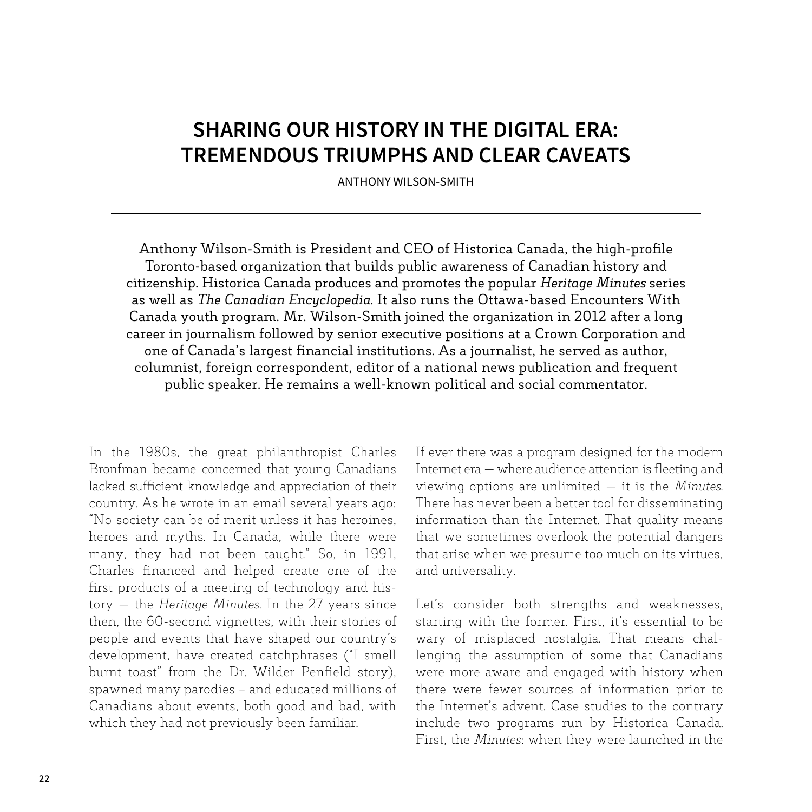### **SHARING OUR HISTORY IN THE DIGITAL ERA: TREMENDOUS TRIUMPHS AND CLEAR CAVEATS**

ANTHONY WILSON-SMITH

Anthony Wilson-Smith is President and CEO of Historica Canada, the high-profile Toronto-based organization that builds public awareness of Canadian history and citizenship. Historica Canada produces and promotes the popular *Heritage Minutes* series as well as *The Canadian Encyclopedia*. It also runs the Ottawa-based Encounters With Canada youth program. Mr. Wilson-Smith joined the organization in 2012 after a long career in journalism followed by senior executive positions at a Crown Corporation and one of Canada's largest financial institutions. As a journalist, he served as author, columnist, foreign correspondent, editor of a national news publication and frequent public speaker. He remains a well-known political and social commentator.

In the 1980s, the great philanthropist Charles Bronfman became concerned that young Canadians lacked sufficient knowledge and appreciation of their country. As he wrote in an email several years ago: "No society can be of merit unless it has heroines, heroes and myths. In Canada, while there were many, they had not been taught." So, in 1991, Charles financed and helped create one of the first products of a meeting of technology and history — the *Heritage Minutes*. In the 27 years since then, the 60-second vignettes, with their stories of people and events that have shaped our country's development, have created catchphrases ("I smell burnt toast" from the Dr. Wilder Penfield story), spawned many parodies – and educated millions of Canadians about events, both good and bad, with which they had not previously been familiar.

If ever there was a program designed for the modern Internet era — where audience attention is fleeting and viewing options are unlimited — it is the *Minutes*. There has never been a better tool for disseminating information than the Internet. That quality means that we sometimes overlook the potential dangers that arise when we presume too much on its virtues, and universality.

Let's consider both strengths and weaknesses, starting with the former. First, it's essential to be wary of misplaced nostalgia. That means challenging the assumption of some that Canadians were more aware and engaged with history when there were fewer sources of information prior to the Internet's advent. Case studies to the contrary include two programs run by Historica Canada. First, the *Minutes*: when they were launched in the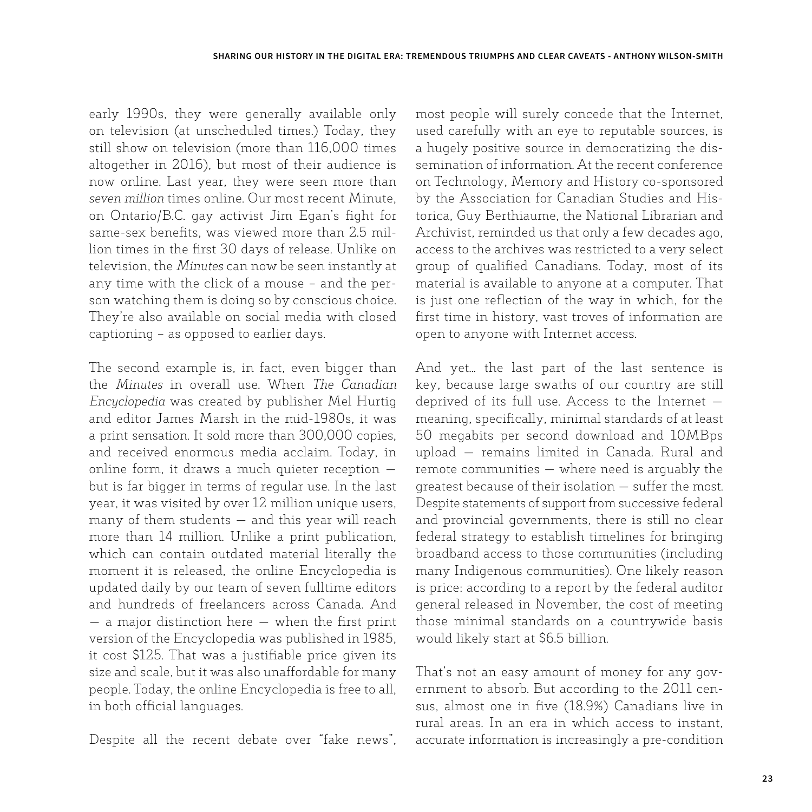early 1990s, they were generally available only on television (at unscheduled times.) Today, they still show on television (more than 116,000 times altogether in 2016), but most of their audience is now online. Last year, they were seen more than *seven million* times online. Our most recent Minute, on Ontario/B.C. gay activist Jim Egan's fight for same-sex benefits, was viewed more than 2.5 million times in the first 30 days of release. Unlike on television, the *Minutes* can now be seen instantly at any time with the click of a mouse – and the person watching them is doing so by conscious choice. They're also available on social media with closed captioning – as opposed to earlier days.

The second example is, in fact, even bigger than the *Minutes* in overall use. When *The Canadian Encyclopedia* was created by publisher Mel Hurtig and editor James Marsh in the mid-1980s, it was a print sensation. It sold more than 300,000 copies, and received enormous media acclaim. Today, in online form, it draws a much quieter reception but is far bigger in terms of regular use. In the last year, it was visited by over 12 million unique users, many of them students — and this year will reach more than 14 million. Unlike a print publication, which can contain outdated material literally the moment it is released, the online Encyclopedia is updated daily by our team of seven fulltime editors and hundreds of freelancers across Canada. And — a major distinction here — when the first print version of the Encyclopedia was published in 1985, it cost \$125. That was a justifiable price given its size and scale, but it was also unaffordable for many people. Today, the online Encyclopedia is free to all, in both official languages.

Despite all the recent debate over "fake news",

most people will surely concede that the Internet, used carefully with an eye to reputable sources, is a hugely positive source in democratizing the dissemination of information. At the recent conference on Technology, Memory and History co-sponsored by the Association for Canadian Studies and Historica, Guy Berthiaume, the National Librarian and Archivist, reminded us that only a few decades ago, access to the archives was restricted to a very select group of qualified Canadians. Today, most of its material is available to anyone at a computer. That is just one reflection of the way in which, for the first time in history, vast troves of information are open to anyone with Internet access.

And yet... the last part of the last sentence is key, because large swaths of our country are still deprived of its full use. Access to the Internet meaning, specifically, minimal standards of at least 50 megabits per second download and 10MBps upload — remains limited in Canada. Rural and remote communities — where need is arguably the greatest because of their isolation — suffer the most. Despite statements of support from successive federal and provincial governments, there is still no clear federal strategy to establish timelines for bringing broadband access to those communities (including many Indigenous communities). One likely reason is price: according to a report by the federal auditor general released in November, the cost of meeting those minimal standards on a countrywide basis would likely start at \$6.5 billion.

That's not an easy amount of money for any government to absorb. But according to the 2011 census, almost one in five (18.9%) Canadians live in rural areas. In an era in which access to instant, accurate information is increasingly a pre-condition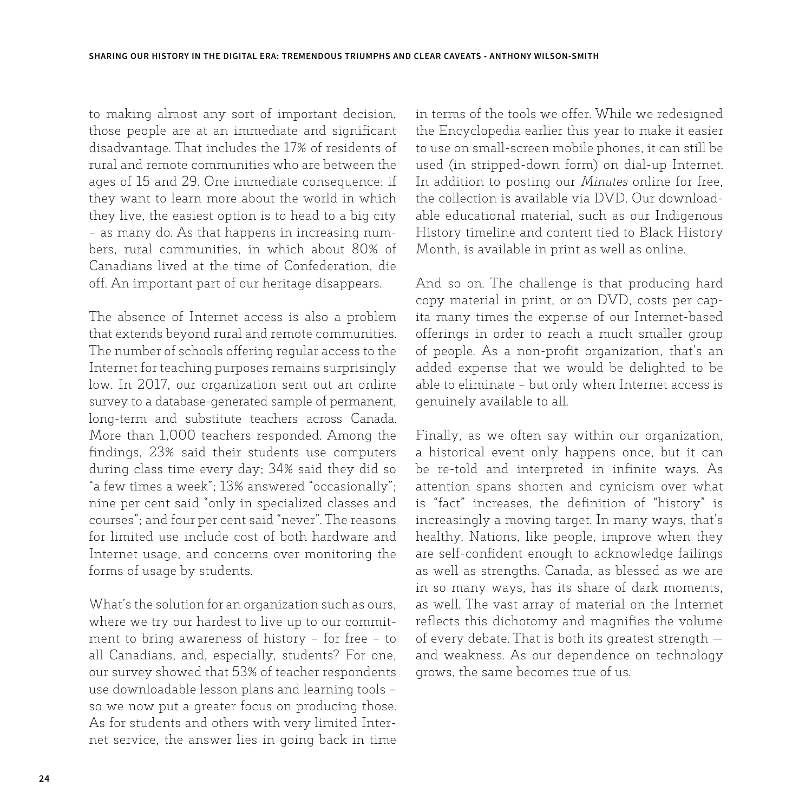to making almost any sort of important decision, those people are at an immediate and significant disadvantage. That includes the 17% of residents of rural and remote communities who are between the ages of 15 and 29. One immediate consequence: if they want to learn more about the world in which they live, the easiest option is to head to a big city – as many do. As that happens in increasing numbers, rural communities, in which about 80% of Canadians lived at the time of Confederation, die off. An important part of our heritage disappears.

The absence of Internet access is also a problem that extends beyond rural and remote communities. The number of schools offering regular access to the Internet for teaching purposes remains surprisingly low. In 2017, our organization sent out an online survey to a database-generated sample of permanent, long-term and substitute teachers across Canada. More than 1,000 teachers responded. Among the findings, 23% said their students use computers during class time every day; 34% said they did so "a few times a week"; 13% answered "occasionally"; nine per cent said "only in specialized classes and courses"; and four per cent said "never". The reasons for limited use include cost of both hardware and Internet usage, and concerns over monitoring the forms of usage by students.

What's the solution for an organization such as ours, where we try our hardest to live up to our commitment to bring awareness of history – for free – to all Canadians, and, especially, students? For one, our survey showed that 53% of teacher respondents use downloadable lesson plans and learning tools – so we now put a greater focus on producing those. As for students and others with very limited Internet service, the answer lies in going back in time in terms of the tools we offer. While we redesigned the Encyclopedia earlier this year to make it easier to use on small-screen mobile phones, it can still be used (in stripped-down form) on dial-up Internet. In addition to posting our *Minutes* online for free, the collection is available via DVD. Our downloadable educational material, such as our Indigenous History timeline and content tied to Black History Month, is available in print as well as online.

And so on. The challenge is that producing hard copy material in print, or on DVD, costs per capita many times the expense of our Internet-based offerings in order to reach a much smaller group of people. As a non-profit organization, that's an added expense that we would be delighted to be able to eliminate – but only when Internet access is genuinely available to all.

Finally, as we often say within our organization, a historical event only happens once, but it can be re-told and interpreted in infinite ways. As attention spans shorten and cynicism over what is "fact" increases, the definition of "history" is increasingly a moving target. In many ways, that's healthy. Nations, like people, improve when they are self-confident enough to acknowledge failings as well as strengths. Canada, as blessed as we are in so many ways, has its share of dark moments, as well. The vast array of material on the Internet reflects this dichotomy and magnifies the volume of every debate. That is both its greatest strength and weakness. As our dependence on technology grows, the same becomes true of us.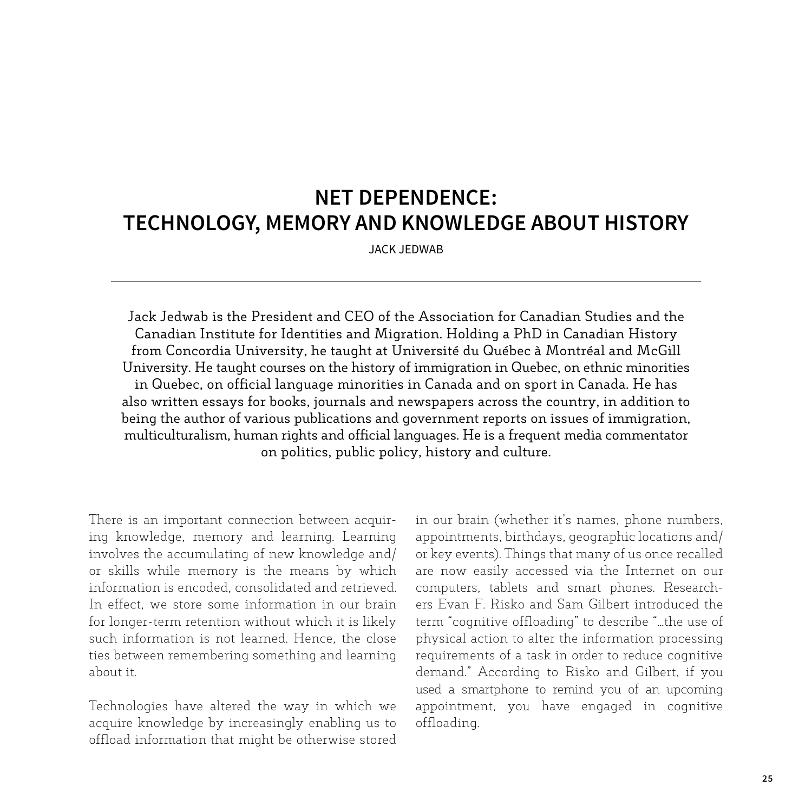# **NET DEPENDENCE: TECHNOLOGY, MEMORY AND KNOWLEDGE ABOUT HISTORY**

JACK JEDWAB

Jack Jedwab is the President and CEO of the Association for Canadian Studies and the Canadian Institute for Identities and Migration. Holding a PhD in Canadian History from Concordia University, he taught at Université du Québec à Montréal and McGill University. He taught courses on the history of immigration in Quebec, on ethnic minorities in Quebec, on official language minorities in Canada and on sport in Canada. He has also written essays for books, journals and newspapers across the country, in addition to being the author of various publications and government reports on issues of immigration, multiculturalism, human rights and official languages. He is a frequent media commentator on politics, public policy, history and culture.

There is an important connection between acquiring knowledge, memory and learning. Learning involves the accumulating of new knowledge and/ or skills while memory is the means by which information is encoded, consolidated and retrieved. In effect, we store some information in our brain for longer-term retention without which it is likely such information is not learned. Hence, the close ties between remembering something and learning about it.

Technologies have altered the way in which we acquire knowledge by increasingly enabling us to offload information that might be otherwise stored in our brain (whether it's names, phone numbers, appointments, birthdays, geographic locations and/ or key events). Things that many of us once recalled are now easily accessed via the Internet on our computers, tablets and smart phones. Researchers Evan F. Risko and Sam Gilbert introduced the term "cognitive offloading" to describe "...the use of physical action to alter the information processing requirements of a task in order to reduce cognitive demand." According to Risko and Gilbert, if you used a smartphone to remind you of an upcoming appointment, you have engaged in cognitive offloading.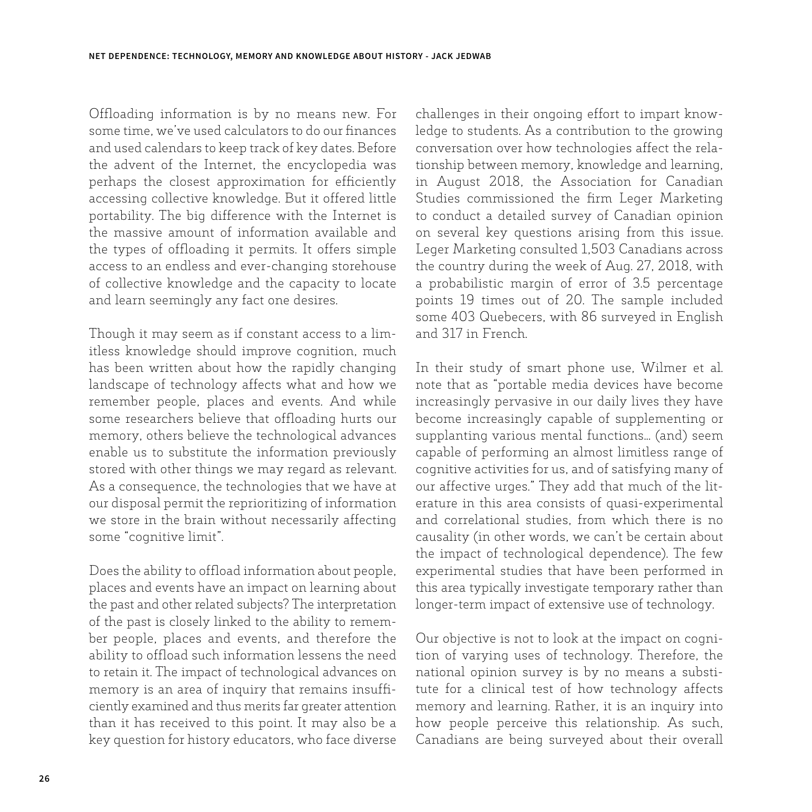Offloading information is by no means new. For some time, we've used calculators to do our finances and used calendars to keep track of key dates. Before the advent of the Internet, the encyclopedia was perhaps the closest approximation for efficiently accessing collective knowledge. But it offered little portability. The big difference with the Internet is the massive amount of information available and the types of offloading it permits. It offers simple access to an endless and ever-changing storehouse of collective knowledge and the capacity to locate and learn seemingly any fact one desires.

Though it may seem as if constant access to a limitless knowledge should improve cognition, much has been written about how the rapidly changing landscape of technology affects what and how we remember people, places and events. And while some researchers believe that offloading hurts our memory, others believe the technological advances enable us to substitute the information previously stored with other things we may regard as relevant. As a consequence, the technologies that we have at our disposal permit the reprioritizing of information we store in the brain without necessarily affecting some "cognitive limit".

Does the ability to offload information about people, places and events have an impact on learning about the past and other related subjects? The interpretation of the past is closely linked to the ability to remember people, places and events, and therefore the ability to offload such information lessens the need to retain it. The impact of technological advances on memory is an area of inquiry that remains insufficiently examined and thus merits far greater attention than it has received to this point. It may also be a key question for history educators, who face diverse challenges in their ongoing effort to impart knowledge to students. As a contribution to the growing conversation over how technologies affect the relationship between memory, knowledge and learning, in August 2018, the Association for Canadian Studies commissioned the firm Leger Marketing to conduct a detailed survey of Canadian opinion on several key questions arising from this issue. Leger Marketing consulted 1,503 Canadians across the country during the week of Aug. 27, 2018, with a probabilistic margin of error of 3.5 percentage points 19 times out of 20. The sample included some 403 Quebecers, with 86 surveyed in English and 317 in French.

In their study of smart phone use, Wilmer et al. note that as "portable media devices have become increasingly pervasive in our daily lives they have become increasingly capable of supplementing or supplanting various mental functions... (and) seem capable of performing an almost limitless range of cognitive activities for us, and of satisfying many of our affective urges." They add that much of the literature in this area consists of quasi-experimental and correlational studies, from which there is no causality (in other words, we can't be certain about the impact of technological dependence). The few experimental studies that have been performed in this area typically investigate temporary rather than longer-term impact of extensive use of technology.

Our objective is not to look at the impact on cognition of varying uses of technology. Therefore, the national opinion survey is by no means a substitute for a clinical test of how technology affects memory and learning. Rather, it is an inquiry into how people perceive this relationship. As such, Canadians are being surveyed about their overall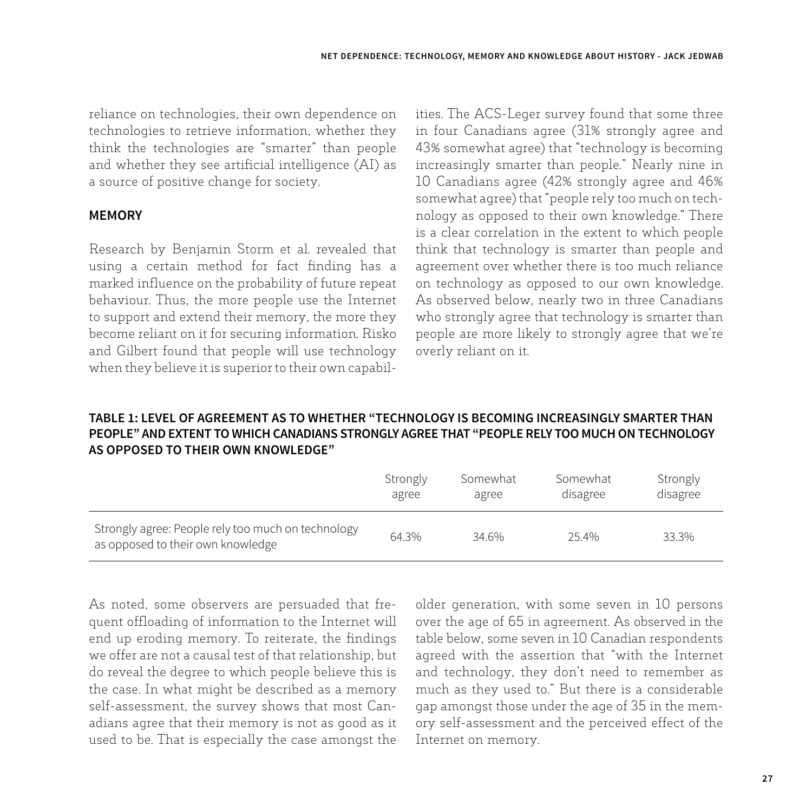reliance on technologies, their own dependence on technologies to retrieve information, whether they think the technologies are "smarter" than people and whether they see artificial intelligence (AI) as a source of positive change for society.

#### **MEMORY**

Research by Benjamin Storm et al. revealed that using a certain method for fact finding has a marked influence on the probability of future repeat behaviour. Thus, the more people use the Internet to support and extend their memory, the more they become reliant on it for securing information. Risko and Gilbert found that people will use technology when they believe it is superior to their own capabilities. The ACS-Leger survey found that some three in four Canadians agree (31% strongly agree and 43% somewhat agree) that "technology is becoming increasingly smarter than people." Nearly nine in 10 Canadians agree (42% strongly agree and 46% somewhat agree) that "people rely too much on technology as opposed to their own knowledge." There is a clear correlation in the extent to which people think that technology is smarter than people and agreement over whether there is too much reliance on technology as opposed to our own knowledge. As observed below, nearly two in three Canadians who strongly agree that technology is smarter than people are more likely to strongly agree that we're overly reliant on it.

#### **TABLE 1: LEVEL OF AGREEMENT AS TO WHETHER "TECHNOLOGY IS BECOMING INCREASINGLY SMARTER THAN PEOPLE" AND EXTENT TO WHICH CANADIANS STRONGLY AGREE THAT "PEOPLE RELY TOO MUCH ON TECHNOLOGY AS OPPOSED TO THEIR OWN KNOWLEDGE"**

|                                                                                         | Strongly | Somewhat | Somewhat | Strongly |
|-----------------------------------------------------------------------------------------|----------|----------|----------|----------|
|                                                                                         | agree    | agree    | disagree | disagree |
| Strongly agree: People rely too much on technology<br>as opposed to their own knowledge | 64.3%    | 34.6%    | 254%     | 33.3%    |

As noted, some observers are persuaded that frequent offloading of information to the Internet will end up eroding memory. To reiterate, the findings we offer are not a causal test of that relationship, but do reveal the degree to which people believe this is the case. In what might be described as a memory self-assessment, the survey shows that most Canadians agree that their memory is not as good as it used to be. That is especially the case amongst the older generation, with some seven in 10 persons over the age of 65 in agreement. As observed in the table below, some seven in 10 Canadian respondents agreed with the assertion that "with the Internet and technology, they don't need to remember as much as they used to." But there is a considerable gap amongst those under the age of 35 in the memory self-assessment and the perceived effect of the Internet on memory.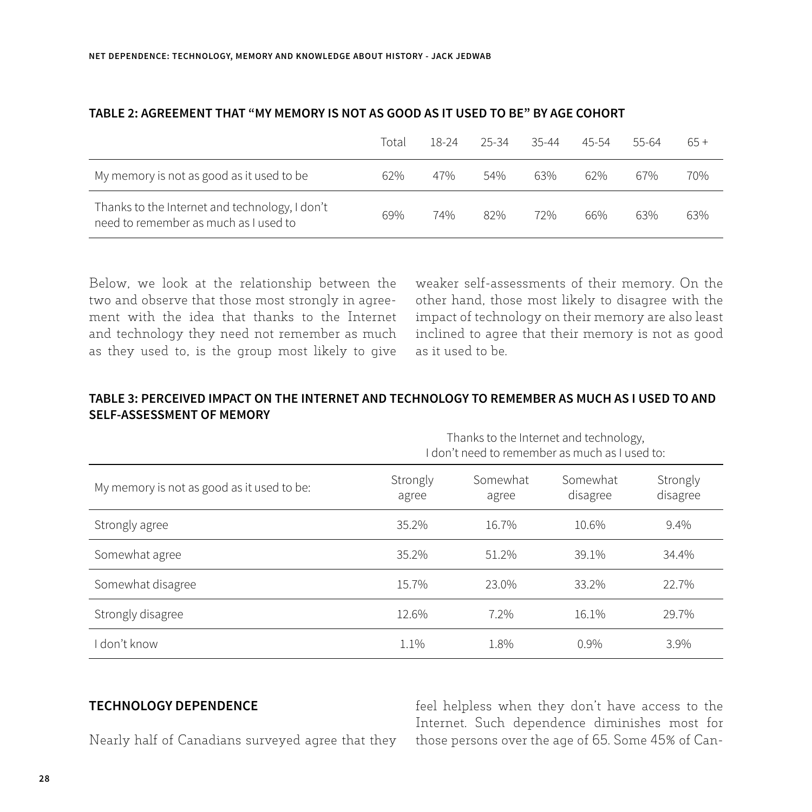|                                                                                         | Total | 18-24 | 25-34 | 35-44 | 45-54 | 55-64 | $65+$ |
|-----------------------------------------------------------------------------------------|-------|-------|-------|-------|-------|-------|-------|
| My memory is not as good as it used to be                                               | 62%   | 47%   | 54%   | 63%   | 62%   | 67%   | 70%   |
| Thanks to the Internet and technology, I don't<br>need to remember as much as I used to | 69%   | 74%   | 82%   | 72%   | 66%   | 63%   | 63%   |

#### **TABLE 2: AGREEMENT THAT "MY MEMORY IS NOT AS GOOD AS IT USED TO BE" BY AGE COHORT**

Below, we look at the relationship between the two and observe that those most strongly in agreement with the idea that thanks to the Internet and technology they need not remember as much as they used to, is the group most likely to give

weaker self-assessments of their memory. On the other hand, those most likely to disagree with the impact of technology on their memory are also least inclined to agree that their memory is not as good as it used to be.

#### **TABLE 3: PERCEIVED IMPACT ON THE INTERNET AND TECHNOLOGY TO REMEMBER AS MUCH AS I USED TO AND SELF-ASSESSMENT OF MEMORY**

|                                            | Thanks to the Internet and technology,<br>I don't need to remember as much as I used to: |                   |                      |                      |  |  |  |
|--------------------------------------------|------------------------------------------------------------------------------------------|-------------------|----------------------|----------------------|--|--|--|
| My memory is not as good as it used to be: | Strongly<br>agree                                                                        | Somewhat<br>agree | Somewhat<br>disagree | Strongly<br>disagree |  |  |  |
| Strongly agree                             | 35.2%                                                                                    | 16.7%             | 10.6%                | 9.4%                 |  |  |  |
| Somewhat agree                             | 35.2%                                                                                    | 51.2%             | 39.1%                | 34.4%                |  |  |  |
| Somewhat disagree                          | 15.7%                                                                                    | 23.0%             | 33.2%                | 22.7%                |  |  |  |
| Strongly disagree                          | 12.6%                                                                                    | 7.2%              | 16.1%                | 29.7%                |  |  |  |
| don't know                                 | 1.1%                                                                                     | 1.8%              | $0.9\%$              | 3.9%                 |  |  |  |

#### **TECHNOLOGY DEPENDENCE**

Nearly half of Canadians surveyed agree that they

feel helpless when they don't have access to the Internet. Such dependence diminishes most for those persons over the age of 65. Some 45% of Can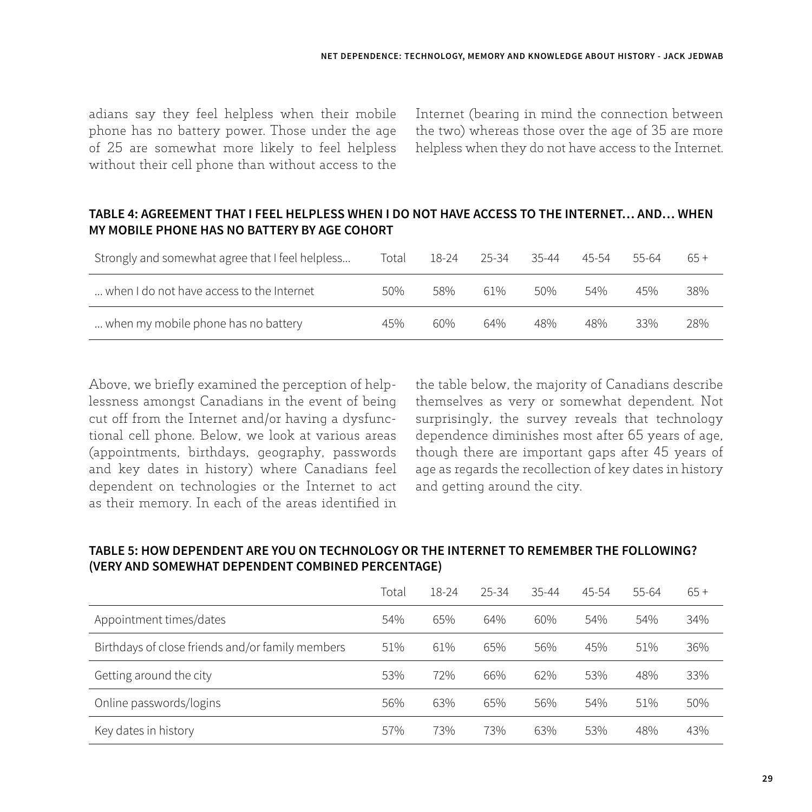adians say they feel helpless when their mobile phone has no battery power. Those under the age of 25 are somewhat more likely to feel helpless without their cell phone than without access to the Internet (bearing in mind the connection between the two) whereas those over the age of 35 are more helpless when they do not have access to the Internet.

#### **TABLE 4: AGREEMENT THAT I FEEL HELPLESS WHEN I DO NOT HAVE ACCESS TO THE INTERNET… AND… WHEN MY MOBILE PHONE HAS NO BATTERY BY AGE COHORT**

| Strongly and somewhat agree that I feel helpless | Total | 18-24 | $25 - 34$ | $35 - 44$ | 45-54 | 55-64 | $65+$ |
|--------------------------------------------------|-------|-------|-----------|-----------|-------|-------|-------|
| when I do not have access to the Internet        | 50%   | 58%   | 61%       | 50%       | 54%   | 45%   | 38%   |
| when my mobile phone has no battery              | 45%   | 60%   | 64%       | 48%       | 48%   | 33%   | 28%   |

Above, we briefly examined the perception of helplessness amongst Canadians in the event of being cut off from the Internet and/or having a dysfunctional cell phone. Below, we look at various areas (appointments, birthdays, geography, passwords and key dates in history) where Canadians feel dependent on technologies or the Internet to act as their memory. In each of the areas identified in the table below, the majority of Canadians describe themselves as very or somewhat dependent. Not surprisingly, the survey reveals that technology dependence diminishes most after 65 years of age, though there are important gaps after 45 years of age as regards the recollection of key dates in history and getting around the city.

### **TABLE 5: HOW DEPENDENT ARE YOU ON TECHNOLOGY OR THE INTERNET TO REMEMBER THE FOLLOWING? (VERY AND SOMEWHAT DEPENDENT COMBINED PERCENTAGE)**

|                                                  | Total | 18-24 | $25 - 34$ | $35 - 44$ | $45 - 54$ | 55-64 | $65+$ |
|--------------------------------------------------|-------|-------|-----------|-----------|-----------|-------|-------|
| Appointment times/dates                          | 54%   | 65%   | 64%       | 60%       | 54%       | 54%   | 34%   |
| Birthdays of close friends and/or family members | 51%   | 61%   | 65%       | 56%       | 45%       | 51%   | 36%   |
| Getting around the city                          | 53%   | 72%   | 66%       | 62%       | 53%       | 48%   | 33%   |
| Online passwords/logins                          | 56%   | 63%   | 65%       | 56%       | 54%       | 51%   | 50%   |
| Key dates in history                             | 57%   | 73%   | 73%       | 63%       | 53%       | 48%   | 43%   |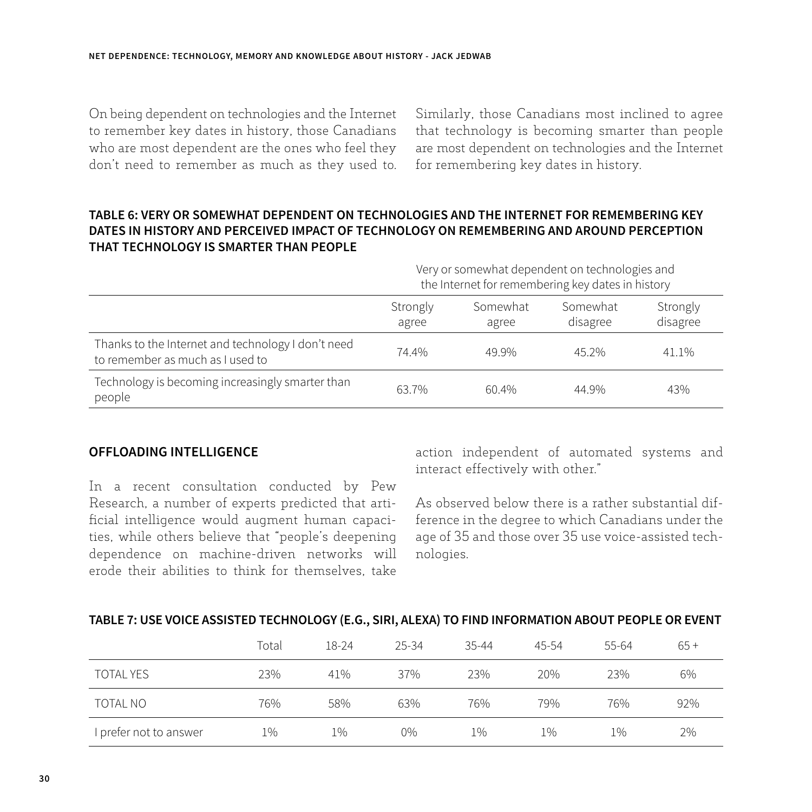On being dependent on technologies and the Internet to remember key dates in history, those Canadians who are most dependent are the ones who feel they don't need to remember as much as they used to. Similarly, those Canadians most inclined to agree that technology is becoming smarter than people are most dependent on technologies and the Internet for remembering key dates in history.

#### **TABLE 6: VERY OR SOMEWHAT DEPENDENT ON TECHNOLOGIES AND THE INTERNET FOR REMEMBERING KEY DATES IN HISTORY AND PERCEIVED IMPACT OF TECHNOLOGY ON REMEMBERING AND AROUND PERCEPTION THAT TECHNOLOGY IS SMARTER THAN PEOPLE**

|                                                                                        | Very or somewhat dependent on technologies and<br>the Internet for remembering key dates in history |                   |                      |                      |  |  |  |  |
|----------------------------------------------------------------------------------------|-----------------------------------------------------------------------------------------------------|-------------------|----------------------|----------------------|--|--|--|--|
|                                                                                        | Strongly<br>agree                                                                                   | Somewhat<br>agree | Somewhat<br>disagree | Strongly<br>disagree |  |  |  |  |
| Thanks to the Internet and technology I don't need<br>to remember as much as I used to | 74.4%                                                                                               | 49.9%             | 45.2%                | 41.1%                |  |  |  |  |
| Technology is becoming increasingly smarter than<br>people                             | 63.7%                                                                                               | 60.4%             | 44 9%                | 43%                  |  |  |  |  |

#### **OFFLOADING INTELLIGENCE**

In a recent consultation conducted by Pew Research, a number of experts predicted that artificial intelligence would augment human capacities, while others believe that "people's deepening dependence on machine-driven networks will erode their abilities to think for themselves, take

action independent of automated systems and interact effectively with other."

As observed below there is a rather substantial difference in the degree to which Canadians under the age of 35 and those over 35 use voice-assisted technologies.

#### **TABLE 7: USE VOICE ASSISTED TECHNOLOGY (E.G., SIRI, ALEXA) TO FIND INFORMATION ABOUT PEOPLE OR EVENT**

|                        | Total | 18-24 | 25-34 | $35 - 44$ | $45 - 54$ | 55-64 | $65+$ |
|------------------------|-------|-------|-------|-----------|-----------|-------|-------|
| <b>TOTAL YES</b>       | 23%   | 41%   | 37%   | 23%       | 20%       | 23%   | 6%    |
| TOTAL NO               | 76%   | 58%   | 63%   | 76%       | 79%       | 76%   | 92%   |
| I prefer not to answer | 1%    | $1\%$ | $0\%$ | $1\%$     | $1\%$     | $1\%$ | 2%    |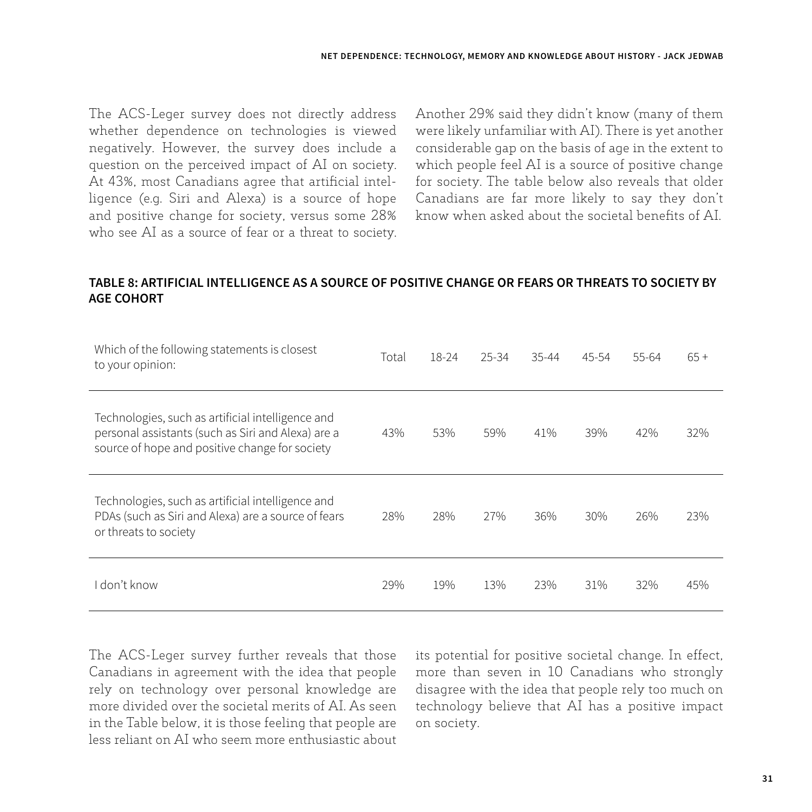The ACS-Leger survey does not directly address whether dependence on technologies is viewed negatively. However, the survey does include a question on the perceived impact of AI on society. At 43%, most Canadians agree that artificial intelligence (e.g. Siri and Alexa) is a source of hope and positive change for society, versus some 28% who see AI as a source of fear or a threat to society.

Another 29% said they didn't know (many of them were likely unfamiliar with AI). There is yet another considerable gap on the basis of age in the extent to which people feel AI is a source of positive change for society. The table below also reveals that older Canadians are far more likely to say they don't know when asked about the societal benefits of AI.

#### **TABLE 8: ARTIFICIAL INTELLIGENCE AS A SOURCE OF POSITIVE CHANGE OR FEARS OR THREATS TO SOCIETY BY AGE COHORT**

| Which of the following statements is closest<br>to your opinion:                                                                                          | Total | 18-24 | $25 - 34$ | $35 - 44$ | $45 - 54$ | 55-64 | $65+$ |
|-----------------------------------------------------------------------------------------------------------------------------------------------------------|-------|-------|-----------|-----------|-----------|-------|-------|
| Technologies, such as artificial intelligence and<br>personal assistants (such as Siri and Alexa) are a<br>source of hope and positive change for society | 43%   | 53%   | 59%       | 41%       | 39%       | 42%   | 32%   |
| Technologies, such as artificial intelligence and<br>PDAs (such as Siri and Alexa) are a source of fears<br>or threats to society                         | 28%   | 28%   | 27%       | 36%       | 30%       | 26%   | 23%   |
| ∣don't know                                                                                                                                               | 29%   | 19%   | 13%       | 23%       | 31%       | 32%   | 45%   |

The ACS-Leger survey further reveals that those Canadians in agreement with the idea that people rely on technology over personal knowledge are more divided over the societal merits of AI. As seen in the Table below, it is those feeling that people are less reliant on AI who seem more enthusiastic about its potential for positive societal change. In effect, more than seven in 10 Canadians who strongly disagree with the idea that people rely too much on technology believe that AI has a positive impact on society.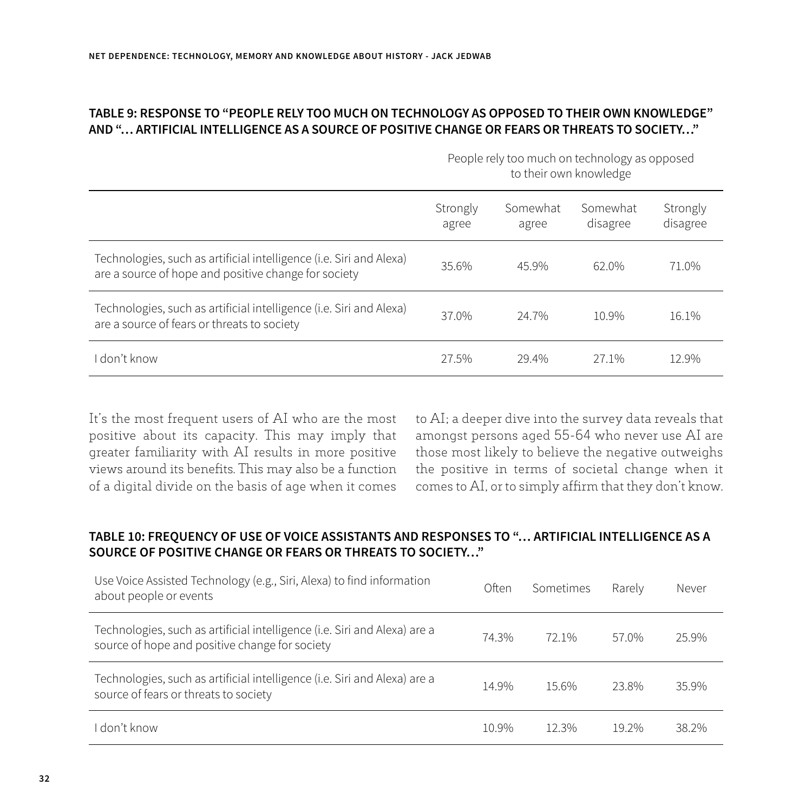#### **TABLE 9: RESPONSE TO "PEOPLE RELY TOO MUCH ON TECHNOLOGY AS OPPOSED TO THEIR OWN KNOWLEDGE" AND "… ARTIFICIAL INTELLIGENCE AS A SOURCE OF POSITIVE CHANGE OR FEARS OR THREATS TO SOCIETY…"**

|                                                                                                                             | People rely too much on technology as opposed<br>to their own knowledge |                   |                      |                      |  |  |  |
|-----------------------------------------------------------------------------------------------------------------------------|-------------------------------------------------------------------------|-------------------|----------------------|----------------------|--|--|--|
|                                                                                                                             | Strongly<br>agree                                                       | Somewhat<br>agree | Somewhat<br>disagree | Strongly<br>disagree |  |  |  |
| Technologies, such as artificial intelligence (i.e. Siri and Alexa)<br>are a source of hope and positive change for society | 35.6%                                                                   | 45.9%             | 62.0%                | 71.0%                |  |  |  |
| Technologies, such as artificial intelligence (i.e. Siri and Alexa)<br>are a source of fears or threats to society          | 37.0%                                                                   | 24.7%             | 10.9%                | 16.1%                |  |  |  |
| don't know                                                                                                                  | 27.5%                                                                   | 29 4%             | 27 1%                | 12.9%                |  |  |  |

It's the most frequent users of AI who are the most positive about its capacity. This may imply that greater familiarity with AI results in more positive views around its benefits. This may also be a function of a digital divide on the basis of age when it comes to AI; a deeper dive into the survey data reveals that amongst persons aged 55-64 who never use AI are those most likely to believe the negative outweighs the positive in terms of societal change when it comes to AI, or to simply affirm that they don't know.

### **TABLE 10: FREQUENCY OF USE OF VOICE ASSISTANTS AND RESPONSES TO "… ARTIFICIAL INTELLIGENCE AS A SOURCE OF POSITIVE CHANGE OR FEARS OR THREATS TO SOCIETY…"**

| Use Voice Assisted Technology (e.g., Siri, Alexa) to find information<br>about people or events                             | Often | <b>Sometimes</b> | Rarely | Never |
|-----------------------------------------------------------------------------------------------------------------------------|-------|------------------|--------|-------|
| Technologies, such as artificial intelligence (i.e. Siri and Alexa) are a<br>source of hope and positive change for society | 74.3% | 72 1%            | 57.0%  | 25.9% |
| Technologies, such as artificial intelligence (i.e. Siri and Alexa) are a<br>source of fears or threats to society          | 14.9% | 15.6%            | 23.8%  | 35 9% |
| don't know                                                                                                                  | 10.9% | 12.3%            | 19 2%  | 38.2% |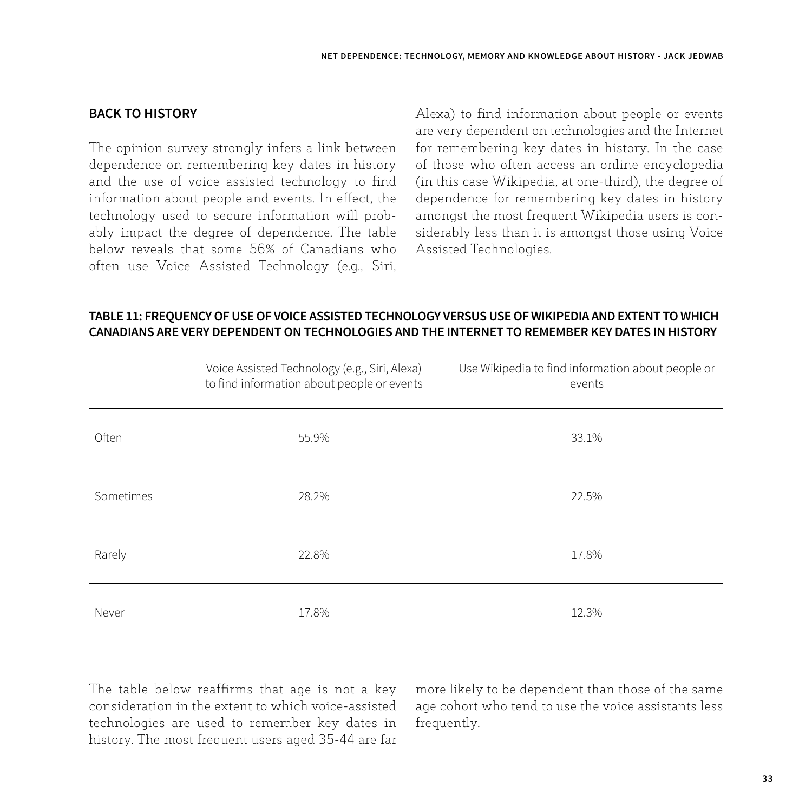#### **BACK TO HISTORY**

The opinion survey strongly infers a link between dependence on remembering key dates in history and the use of voice assisted technology to find information about people and events. In effect, the technology used to secure information will probably impact the degree of dependence. The table below reveals that some 56% of Canadians who often use Voice Assisted Technology (e.g., Siri,

Alexa) to find information about people or events are very dependent on technologies and the Internet for remembering key dates in history. In the case of those who often access an online encyclopedia (in this case Wikipedia, at one-third), the degree of dependence for remembering key dates in history amongst the most frequent Wikipedia users is considerably less than it is amongst those using Voice Assisted Technologies.

#### **TABLE 11: FREQUENCY OF USE OF VOICE ASSISTED TECHNOLOGY VERSUS USE OF WIKIPEDIA AND EXTENT TO WHICH CANADIANS ARE VERY DEPENDENT ON TECHNOLOGIES AND THE INTERNET TO REMEMBER KEY DATES IN HISTORY**

|           | Voice Assisted Technology (e.g., Siri, Alexa)<br>to find information about people or events | Use Wikipedia to find information about people or<br>events |
|-----------|---------------------------------------------------------------------------------------------|-------------------------------------------------------------|
| Often     | 55.9%                                                                                       | 33.1%                                                       |
| Sometimes | 28.2%                                                                                       | 22.5%                                                       |
| Rarely    | 22.8%                                                                                       | 17.8%                                                       |
| Never     | 17.8%                                                                                       | 12.3%                                                       |

The table below reaffirms that age is not a key consideration in the extent to which voice-assisted technologies are used to remember key dates in history. The most frequent users aged 35-44 are far more likely to be dependent than those of the same age cohort who tend to use the voice assistants less frequently.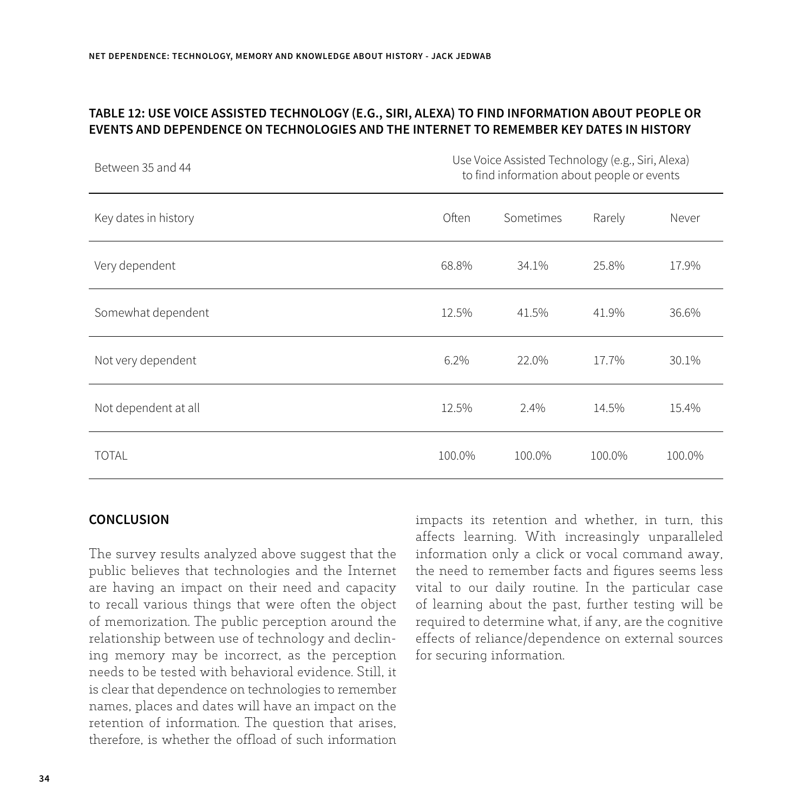#### **TABLE 12: USE VOICE ASSISTED TECHNOLOGY (E.G., SIRI, ALEXA) TO FIND INFORMATION ABOUT PEOPLE OR EVENTS AND DEPENDENCE ON TECHNOLOGIES AND THE INTERNET TO REMEMBER KEY DATES IN HISTORY**

| Between 35 and 44    | Use Voice Assisted Technology (e.g., Siri, Alexa)<br>to find information about people or events |           |        |        |  |  |
|----------------------|-------------------------------------------------------------------------------------------------|-----------|--------|--------|--|--|
| Key dates in history | Often                                                                                           | Sometimes | Rarely | Never  |  |  |
| Very dependent       | 68.8%                                                                                           | 34.1%     | 25.8%  | 17.9%  |  |  |
| Somewhat dependent   | 12.5%                                                                                           | 41.5%     | 41.9%  | 36.6%  |  |  |
| Not very dependent   | 6.2%                                                                                            | 22.0%     | 17.7%  | 30.1%  |  |  |
| Not dependent at all | 12.5%                                                                                           | 2.4%      | 14.5%  | 15.4%  |  |  |
| <b>TOTAL</b>         | 100.0%                                                                                          | 100.0%    | 100.0% | 100.0% |  |  |

#### **CONCLUSION**

The survey results analyzed above suggest that the public believes that technologies and the Internet are having an impact on their need and capacity to recall various things that were often the object of memorization. The public perception around the relationship between use of technology and declining memory may be incorrect, as the perception needs to be tested with behavioral evidence. Still, it is clear that dependence on technologies to remember names, places and dates will have an impact on the retention of information. The question that arises, therefore, is whether the offload of such information

impacts its retention and whether, in turn, this affects learning. With increasingly unparalleled information only a click or vocal command away, the need to remember facts and figures seems less vital to our daily routine. In the particular case of learning about the past, further testing will be required to determine what, if any, are the cognitive effects of reliance/dependence on external sources for securing information.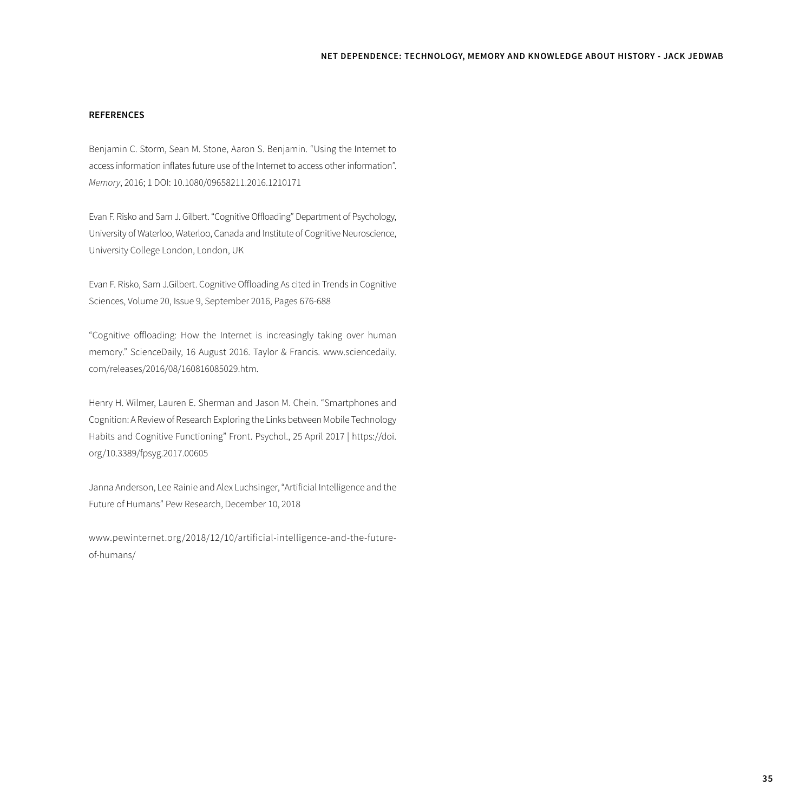#### **REFERENCES**

Benjamin C. Storm, Sean M. Stone, Aaron S. Benjamin. "Using the Internet to access information inflates future use of the Internet to access other information". *Memory*, 2016; 1 DOI: 10.1080/09658211.2016.1210171

Evan F. Risko and Sam J. Gilbert. "Cognitive Offloading" Department of Psychology, University of Waterloo, Waterloo, Canada and Institute of Cognitive Neuroscience, University College London, London, UK

Evan F. Risko, Sam J.Gilbert. Cognitive Offloading As cited in Trends in Cognitive Sciences, Volume 20, Issue 9, September 2016, Pages 676-688

"Cognitive offloading: How the Internet is increasingly taking over human memory." ScienceDaily, 16 August 2016. Taylor & Francis. www.sciencedaily. com/releases/2016/08/160816085029.htm.

Henry H. Wilmer, Lauren E. Sherman and Jason M. Chein. "Smartphones and Cognition: A Review of Research Exploring the Links between Mobile Technology Habits and Cognitive Functioning" Front. Psychol., 25 April 2017 | https://doi. org/10.3389/fpsyg.2017.00605

Janna Anderson, Lee Rainie and Alex Luchsinger, "Artificial Intelligence and the Future of Humans" Pew Research, December 10, 2018

www.pewinternet.org/2018/12/10/artificial-intelligence-and-the-futureof-humans/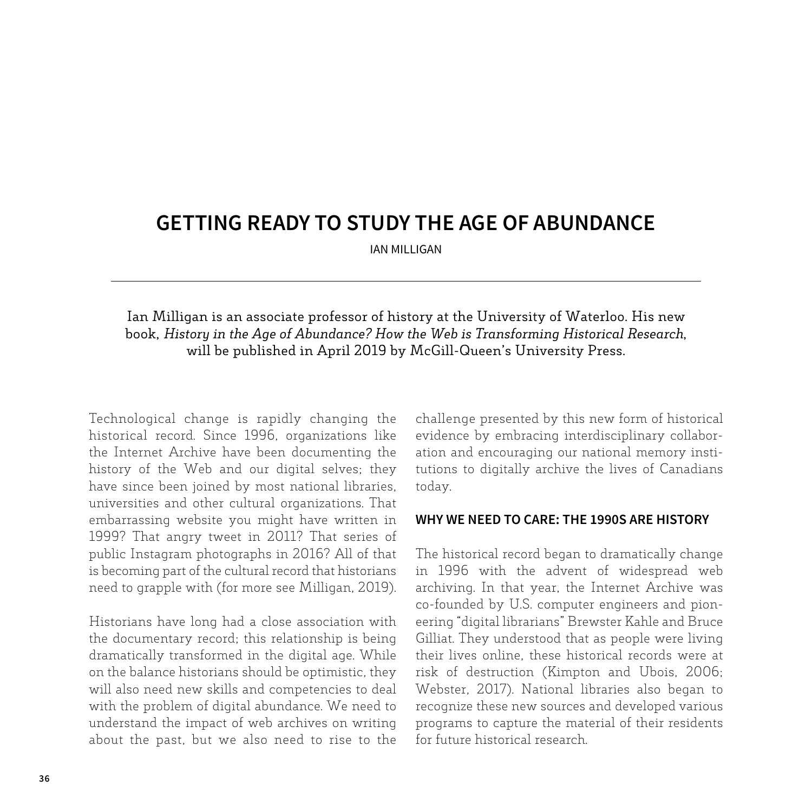### **GETTING READY TO STUDY THE AGE OF ABUNDANCE**

IAN MILLIGAN

Ian Milligan is an associate professor of history at the University of Waterloo. His new book, *History in the Age of Abundance? How the Web is Transforming Historical Research*, will be published in April 2019 by McGill-Queen's University Press.

Technological change is rapidly changing the historical record. Since 1996, organizations like the Internet Archive have been documenting the history of the Web and our digital selves; they have since been joined by most national libraries, universities and other cultural organizations. That embarrassing website you might have written in 1999? That angry tweet in 2011? That series of public Instagram photographs in 2016? All of that is becoming part of the cultural record that historians need to grapple with (for more see Milligan, 2019).

Historians have long had a close association with the documentary record; this relationship is being dramatically transformed in the digital age. While on the balance historians should be optimistic, they will also need new skills and competencies to deal with the problem of digital abundance. We need to understand the impact of web archives on writing about the past, but we also need to rise to the challenge presented by this new form of historical evidence by embracing interdisciplinary collaboration and encouraging our national memory institutions to digitally archive the lives of Canadians today.

#### **WHY WE NEED TO CARE: THE 1990S ARE HISTORY**

The historical record began to dramatically change in 1996 with the advent of widespread web archiving. In that year, the Internet Archive was co-founded by U.S. computer engineers and pioneering "digital librarians" Brewster Kahle and Bruce Gilliat. They understood that as people were living their lives online, these historical records were at risk of destruction (Kimpton and Ubois, 2006; Webster, 2017). National libraries also began to recognize these new sources and developed various programs to capture the material of their residents for future historical research.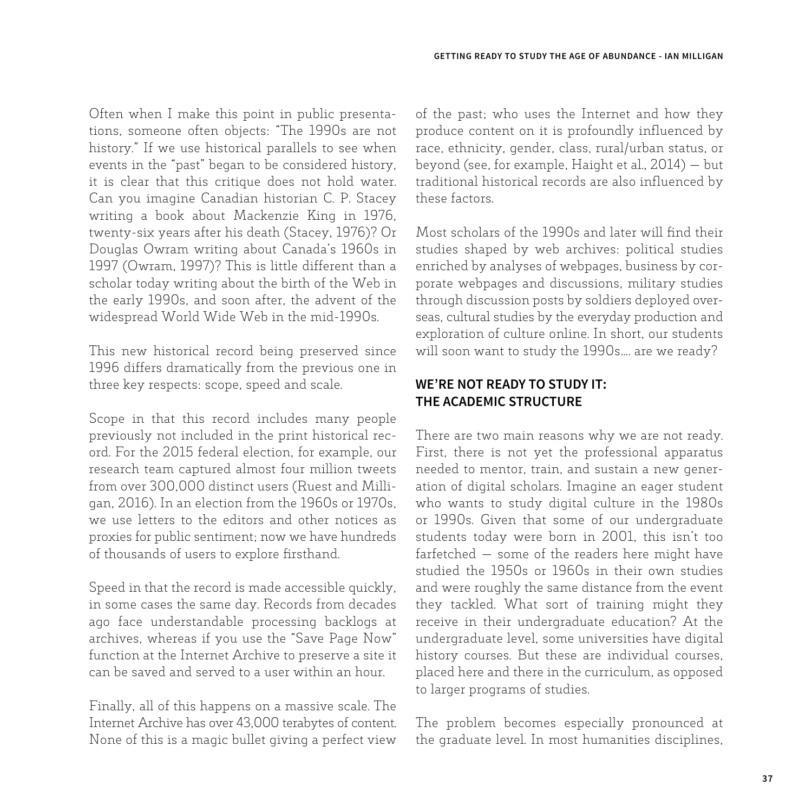Often when I make this point in public presentations, someone often objects: "The 1990s are not history." If we use historical parallels to see when events in the "past" began to be considered history, it is clear that this critique does not hold water. Can you imagine Canadian historian C. P. Stacey writing a book about Mackenzie King in 1976, twenty-six years after his death (Stacey, 1976)? Or Douglas Owram writing about Canada's 1960s in 1997 (Owram, 1997)? This is little different than a scholar today writing about the birth of the Web in the early 1990s, and soon after, the advent of the widespread World Wide Web in the mid-1990s.

This new historical record being preserved since 1996 differs dramatically from the previous one in three key respects: scope, speed and scale.

Scope in that this record includes many people previously not included in the print historical record. For the 2015 federal election, for example, our research team captured almost four million tweets from over 300,000 distinct users (Ruest and Milligan, 2016). In an election from the 1960s or 1970s, we use letters to the editors and other notices as proxies for public sentiment; now we have hundreds of thousands of users to explore firsthand.

Speed in that the record is made accessible quickly, in some cases the same day. Records from decades ago face understandable processing backlogs at archives, whereas if you use the "Save Page Now" function at the Internet Archive to preserve a site it can be saved and served to a user within an hour.

Finally, all of this happens on a massive scale. The Internet Archive has over 43,000 terabytes of content. None of this is a magic bullet giving a perfect view of the past; who uses the Internet and how they produce content on it is profoundly influenced by race, ethnicity, gender, class, rural/urban status, or beyond (see, for example, Haight et al., 2014) — but traditional historical records are also influenced by these factors.

Most scholars of the 1990s and later will find their studies shaped by web archives: political studies enriched by analyses of webpages, business by corporate webpages and discussions, military studies through discussion posts by soldiers deployed overseas, cultural studies by the everyday production and exploration of culture online. In short, our students will soon want to study the 1990s…. are we ready?

### **WE'RE NOT READY TO STUDY IT: THE ACADEMIC STRUCTURE**

There are two main reasons why we are not ready. First, there is not yet the professional apparatus needed to mentor, train, and sustain a new generation of digital scholars. Imagine an eager student who wants to study digital culture in the 1980s or 1990s. Given that some of our undergraduate students today were born in 2001, this isn't too farfetched — some of the readers here might have studied the 1950s or 1960s in their own studies and were roughly the same distance from the event they tackled. What sort of training might they receive in their undergraduate education? At the undergraduate level, some universities have digital history courses. But these are individual courses, placed here and there in the curriculum, as opposed to larger programs of studies.

The problem becomes especially pronounced at the graduate level. In most humanities disciplines,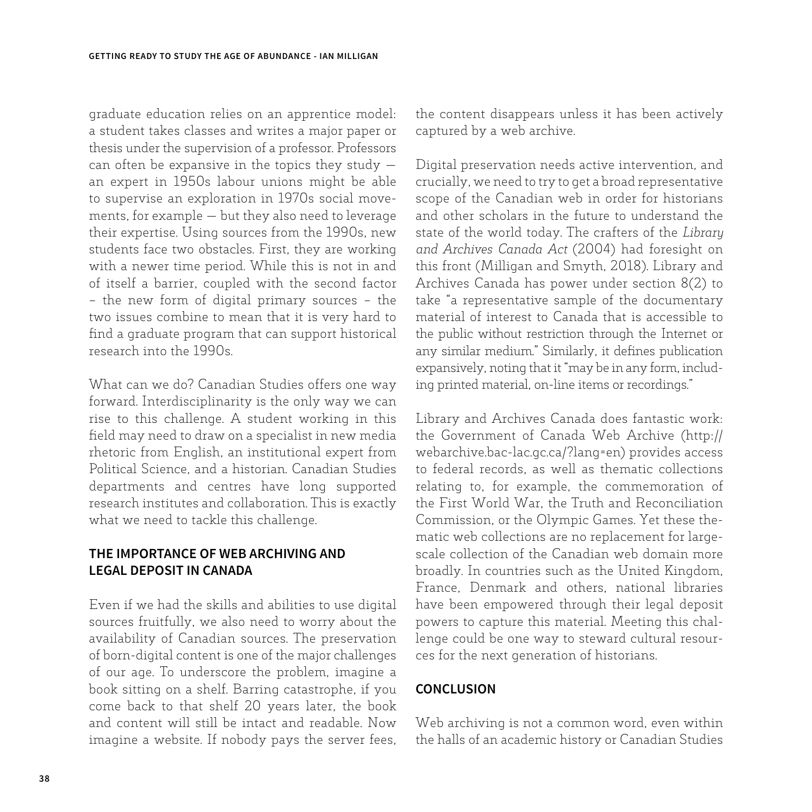graduate education relies on an apprentice model: a student takes classes and writes a major paper or thesis under the supervision of a professor. Professors can often be expansive in the topics they study  $$ an expert in 1950s labour unions might be able to supervise an exploration in 1970s social movements, for example — but they also need to leverage their expertise. Using sources from the 1990s, new students face two obstacles. First, they are working with a newer time period. While this is not in and of itself a barrier, coupled with the second factor – the new form of digital primary sources – the two issues combine to mean that it is very hard to find a graduate program that can support historical research into the 1990s.

What can we do? Canadian Studies offers one way forward. Interdisciplinarity is the only way we can rise to this challenge. A student working in this field may need to draw on a specialist in new media rhetoric from English, an institutional expert from Political Science, and a historian. Canadian Studies departments and centres have long supported research institutes and collaboration. This is exactly what we need to tackle this challenge.

### **THE IMPORTANCE OF WEB ARCHIVING AND LEGAL DEPOSIT IN CANADA**

Even if we had the skills and abilities to use digital sources fruitfully, we also need to worry about the availability of Canadian sources. The preservation of born-digital content is one of the major challenges of our age. To underscore the problem, imagine a book sitting on a shelf. Barring catastrophe, if you come back to that shelf 20 years later, the book and content will still be intact and readable. Now imagine a website. If nobody pays the server fees, the content disappears unless it has been actively captured by a web archive.

Digital preservation needs active intervention, and crucially, we need to try to get a broad representative scope of the Canadian web in order for historians and other scholars in the future to understand the state of the world today. The crafters of the *Library and Archives Canada Act* (2004) had foresight on this front (Milligan and Smyth, 2018). Library and Archives Canada has power under section 8(2) to take "a representative sample of the documentary material of interest to Canada that is accessible to the public without restriction through the Internet or any similar medium." Similarly, it defines publication expansively, noting that it "may be in any form, including printed material, on-line items or recordings."

Library and Archives Canada does fantastic work: the Government of Canada Web Archive (http:// webarchive.bac-lac.gc.ca/?lang=en) provides access to federal records, as well as thematic collections relating to, for example, the commemoration of the First World War, the Truth and Reconciliation Commission, or the Olympic Games. Yet these thematic web collections are no replacement for largescale collection of the Canadian web domain more broadly. In countries such as the United Kingdom, France, Denmark and others, national libraries have been empowered through their legal deposit powers to capture this material. Meeting this challenge could be one way to steward cultural resources for the next generation of historians.

#### **CONCLUSION**

Web archiving is not a common word, even within the halls of an academic history or Canadian Studies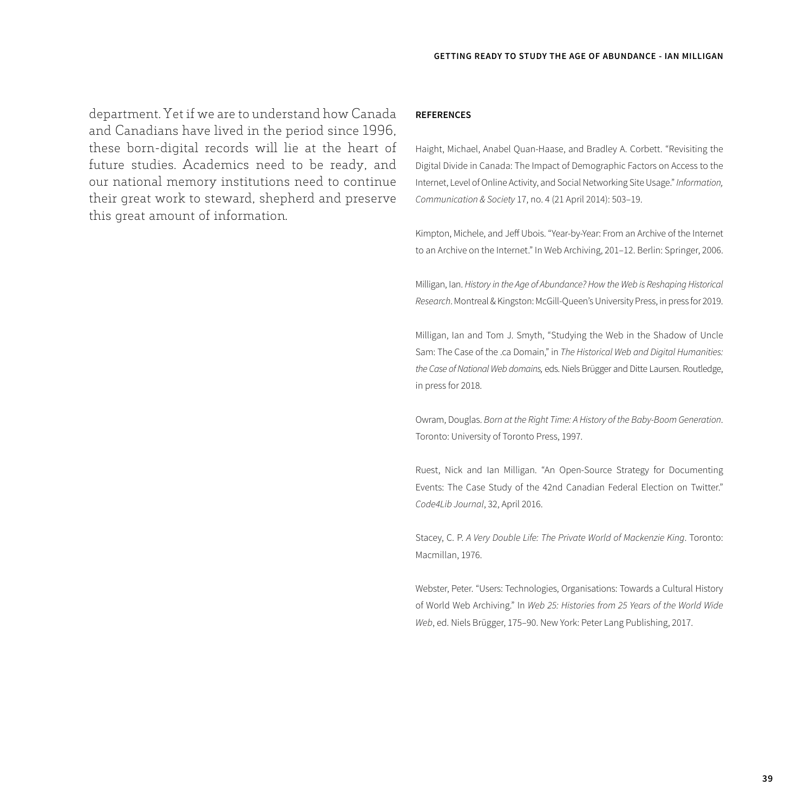department. Yet if we are to understand how Canada and Canadians have lived in the period since 1996, these born-digital records will lie at the heart of future studies. Academics need to be ready, and our national memory institutions need to continue their great work to steward, shepherd and preserve this great amount of information.

#### **REFERENCES**

Haight, Michael, Anabel Quan-Haase, and Bradley A. Corbett. "Revisiting the Digital Divide in Canada: The Impact of Demographic Factors on Access to the Internet, Level of Online Activity, and Social Networking Site Usage." *Information, Communication & Society* 17, no. 4 (21 April 2014): 503–19.

Kimpton, Michele, and Jeff Ubois. "Year-by-Year: From an Archive of the Internet to an Archive on the Internet." In Web Archiving, 201–12. Berlin: Springer, 2006.

Milligan, Ian. *History in the Age of Abundance? How the Web is Reshaping Historical Research*. Montreal & Kingston: McGill-Queen's University Press, in press for 2019.

Milligan, Ian and Tom J. Smyth, "Studying the Web in the Shadow of Uncle Sam: The Case of the .ca Domain," in *The Historical Web and Digital Humanities: the Case of National Web domains,* eds. Niels Brügger and Ditte Laursen. Routledge, in press for 2018.

Owram, Douglas. *Born at the Right Time: A History of the Baby-Boom Generation*. Toronto: University of Toronto Press, 1997.

Ruest, Nick and Ian Milligan. "An Open-Source Strategy for Documenting Events: The Case Study of the 42nd Canadian Federal Election on Twitter." *Code4Lib Journal*, 32, April 2016.

Stacey, C. P. *A Very Double Life: The Private World of Mackenzie King*. Toronto: Macmillan, 1976.

Webster, Peter. "Users: Technologies, Organisations: Towards a Cultural History of World Web Archiving." In *Web 25: Histories from 25 Years of the World Wide Web*, ed. Niels Brügger, 175–90. New York: Peter Lang Publishing, 2017.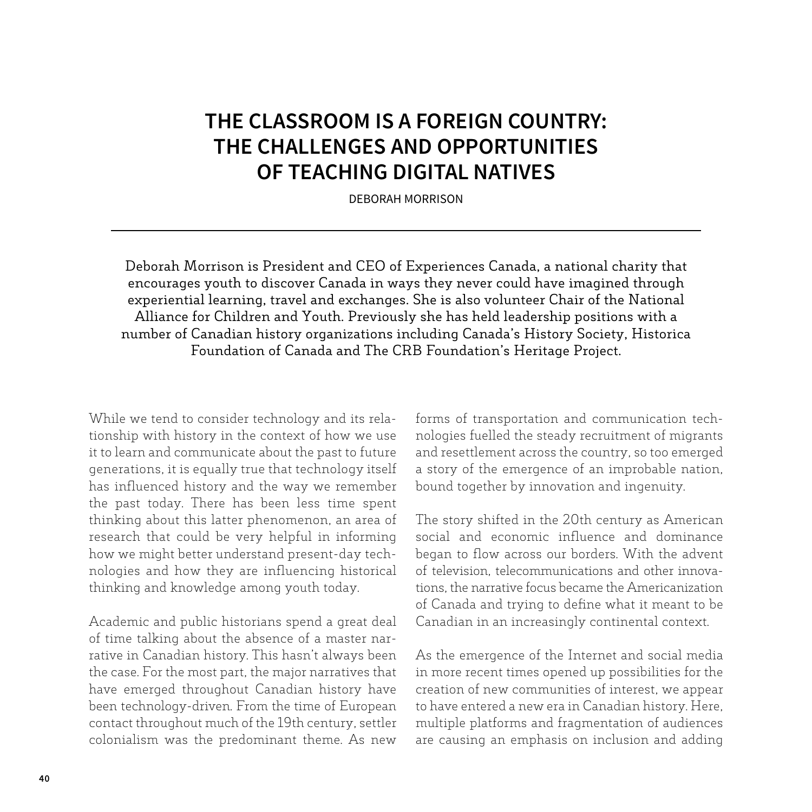# **THE CLASSROOM IS A FOREIGN COUNTRY: THE CHALLENGES AND OPPORTUNITIES OF TEACHING DIGITAL NATIVES**

DEBORAH MORRISON

Deborah Morrison is President and CEO of Experiences Canada, a national charity that encourages youth to discover Canada in ways they never could have imagined through experiential learning, travel and exchanges. She is also volunteer Chair of the National Alliance for Children and Youth. Previously she has held leadership positions with a number of Canadian history organizations including Canada's History Society, Historica Foundation of Canada and The CRB Foundation's Heritage Project.

While we tend to consider technology and its relationship with history in the context of how we use it to learn and communicate about the past to future generations, it is equally true that technology itself has influenced history and the way we remember the past today. There has been less time spent thinking about this latter phenomenon, an area of research that could be very helpful in informing how we might better understand present-day technologies and how they are influencing historical thinking and knowledge among youth today.

Academic and public historians spend a great deal of time talking about the absence of a master narrative in Canadian history. This hasn't always been the case. For the most part, the major narratives that have emerged throughout Canadian history have been technology-driven. From the time of European contact throughout much of the 19th century, settler colonialism was the predominant theme. As new forms of transportation and communication technologies fuelled the steady recruitment of migrants and resettlement across the country, so too emerged a story of the emergence of an improbable nation, bound together by innovation and ingenuity.

The story shifted in the 20th century as American social and economic influence and dominance began to flow across our borders. With the advent of television, telecommunications and other innovations, the narrative focus became the Americanization of Canada and trying to define what it meant to be Canadian in an increasingly continental context.

As the emergence of the Internet and social media in more recent times opened up possibilities for the creation of new communities of interest, we appear to have entered a new era in Canadian history. Here, multiple platforms and fragmentation of audiences are causing an emphasis on inclusion and adding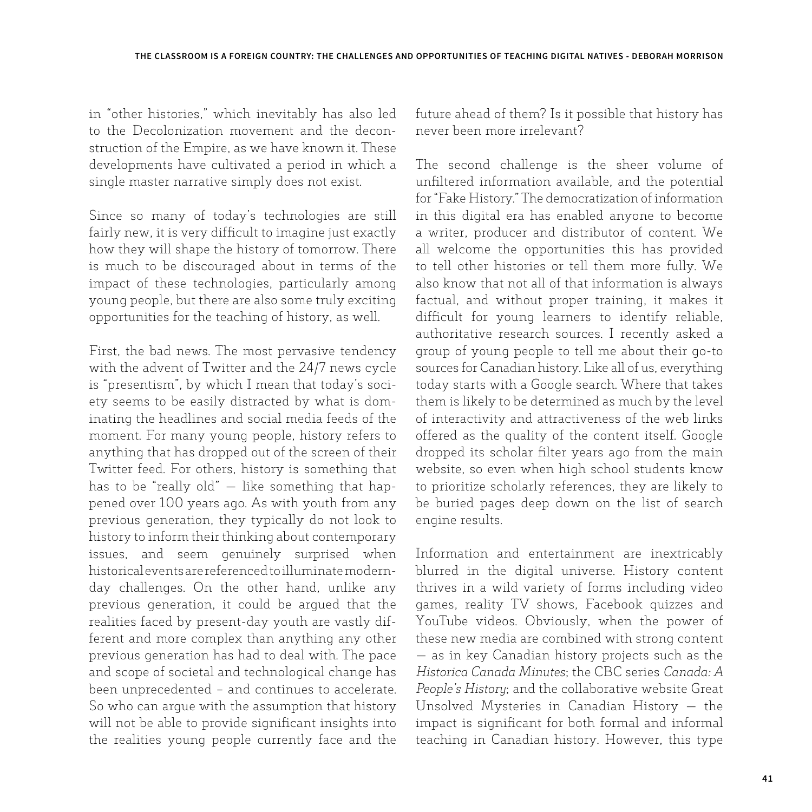in "other histories," which inevitably has also led to the Decolonization movement and the deconstruction of the Empire, as we have known it. These developments have cultivated a period in which a single master narrative simply does not exist.

Since so many of today's technologies are still fairly new, it is very difficult to imagine just exactly how they will shape the history of tomorrow. There is much to be discouraged about in terms of the impact of these technologies, particularly among young people, but there are also some truly exciting opportunities for the teaching of history, as well.

First, the bad news. The most pervasive tendency with the advent of Twitter and the 24/7 news cycle is "presentism", by which I mean that today's society seems to be easily distracted by what is dominating the headlines and social media feeds of the moment. For many young people, history refers to anything that has dropped out of the screen of their Twitter feed. For others, history is something that has to be "really old"  $-$  like something that happened over 100 years ago. As with youth from any previous generation, they typically do not look to history to inform their thinking about contemporary issues, and seem genuinely surprised when historical events are referenced to illuminate modernday challenges. On the other hand, unlike any previous generation, it could be argued that the realities faced by present-day youth are vastly different and more complex than anything any other previous generation has had to deal with. The pace and scope of societal and technological change has been unprecedented – and continues to accelerate. So who can argue with the assumption that history will not be able to provide significant insights into the realities young people currently face and the

future ahead of them? Is it possible that history has never been more irrelevant?

The second challenge is the sheer volume of unfiltered information available, and the potential for "Fake History." The democratization of information in this digital era has enabled anyone to become a writer, producer and distributor of content. We all welcome the opportunities this has provided to tell other histories or tell them more fully. We also know that not all of that information is always factual, and without proper training, it makes it difficult for young learners to identify reliable, authoritative research sources. I recently asked a group of young people to tell me about their go-to sources for Canadian history. Like all of us, everything today starts with a Google search. Where that takes them is likely to be determined as much by the level of interactivity and attractiveness of the web links offered as the quality of the content itself. Google dropped its scholar filter years ago from the main website, so even when high school students know to prioritize scholarly references, they are likely to be buried pages deep down on the list of search engine results.

Information and entertainment are inextricably blurred in the digital universe. History content thrives in a wild variety of forms including video games, reality TV shows, Facebook quizzes and YouTube videos. Obviously, when the power of these new media are combined with strong content — as in key Canadian history projects such as the *Historica Canada Minutes*; the CBC series *Canada: A People's History*; and the collaborative website Great Unsolved Mysteries in Canadian History — the impact is significant for both formal and informal teaching in Canadian history. However, this type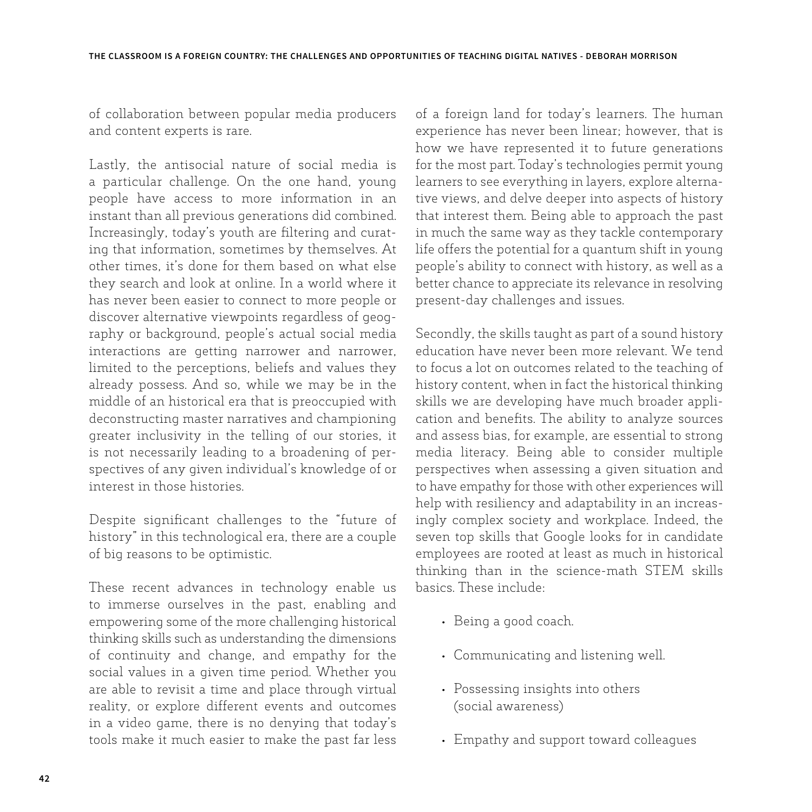of collaboration between popular media producers and content experts is rare.

Lastly, the antisocial nature of social media is a particular challenge. On the one hand, young people have access to more information in an instant than all previous generations did combined. Increasingly, today's youth are filtering and curating that information, sometimes by themselves. At other times, it's done for them based on what else they search and look at online. In a world where it has never been easier to connect to more people or discover alternative viewpoints regardless of geography or background, people's actual social media interactions are getting narrower and narrower, limited to the perceptions, beliefs and values they already possess. And so, while we may be in the middle of an historical era that is preoccupied with deconstructing master narratives and championing greater inclusivity in the telling of our stories, it is not necessarily leading to a broadening of perspectives of any given individual's knowledge of or interest in those histories.

Despite significant challenges to the "future of history" in this technological era, there are a couple of big reasons to be optimistic.

These recent advances in technology enable us to immerse ourselves in the past, enabling and empowering some of the more challenging historical thinking skills such as understanding the dimensions of continuity and change, and empathy for the social values in a given time period. Whether you are able to revisit a time and place through virtual reality, or explore different events and outcomes in a video game, there is no denying that today's tools make it much easier to make the past far less of a foreign land for today's learners. The human experience has never been linear; however, that is how we have represented it to future generations for the most part. Today's technologies permit young learners to see everything in layers, explore alternative views, and delve deeper into aspects of history that interest them. Being able to approach the past in much the same way as they tackle contemporary life offers the potential for a quantum shift in young people's ability to connect with history, as well as a better chance to appreciate its relevance in resolving present-day challenges and issues.

Secondly, the skills taught as part of a sound history education have never been more relevant. We tend to focus a lot on outcomes related to the teaching of history content, when in fact the historical thinking skills we are developing have much broader application and benefits. The ability to analyze sources and assess bias, for example, are essential to strong media literacy. Being able to consider multiple perspectives when assessing a given situation and to have empathy for those with other experiences will help with resiliency and adaptability in an increasingly complex society and workplace. Indeed, the seven top skills that Google looks for in candidate employees are rooted at least as much in historical thinking than in the science-math STEM skills basics. These include:

- Being a good coach.
- Communicating and listening well.
- Possessing insights into others (social awareness)
- Empathy and support toward colleagues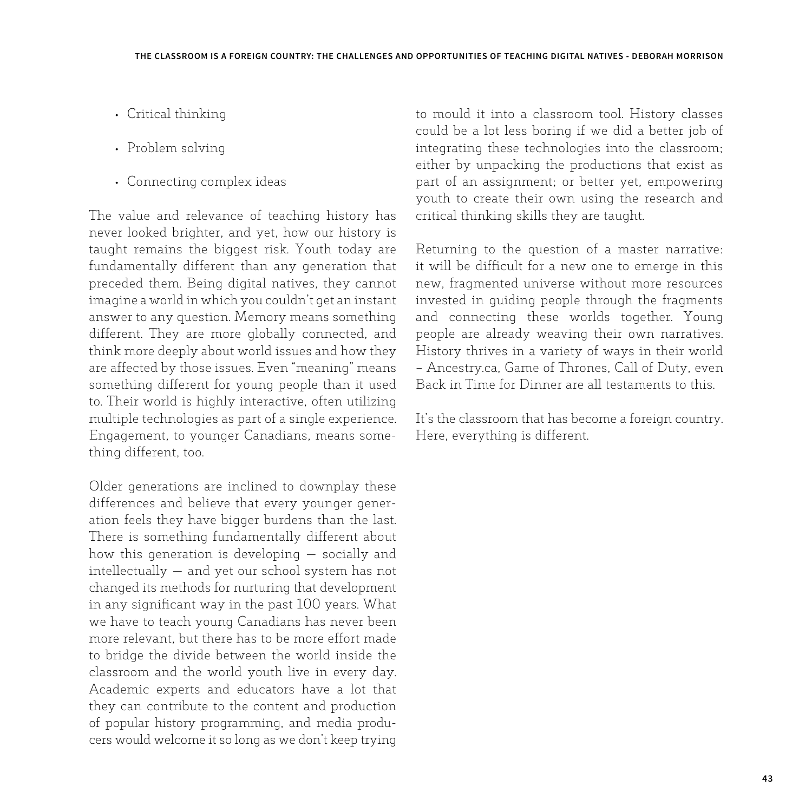- Critical thinking
- Problem solving
- Connecting complex ideas

The value and relevance of teaching history has never looked brighter, and yet, how our history is taught remains the biggest risk. Youth today are fundamentally different than any generation that preceded them. Being digital natives, they cannot imagine a world in which you couldn't get an instant answer to any question. Memory means something different. They are more globally connected, and think more deeply about world issues and how they are affected by those issues. Even "meaning" means something different for young people than it used to. Their world is highly interactive, often utilizing multiple technologies as part of a single experience. Engagement, to younger Canadians, means something different, too.

Older generations are inclined to downplay these differences and believe that every younger generation feels they have bigger burdens than the last. There is something fundamentally different about how this generation is developing — socially and intellectually — and yet our school system has not changed its methods for nurturing that development in any significant way in the past 100 years. What we have to teach young Canadians has never been more relevant, but there has to be more effort made to bridge the divide between the world inside the classroom and the world youth live in every day. Academic experts and educators have a lot that they can contribute to the content and production of popular history programming, and media producers would welcome it so long as we don't keep trying

to mould it into a classroom tool. History classes could be a lot less boring if we did a better job of integrating these technologies into the classroom; either by unpacking the productions that exist as part of an assignment; or better yet, empowering youth to create their own using the research and critical thinking skills they are taught.

Returning to the question of a master narrative: it will be difficult for a new one to emerge in this new, fragmented universe without more resources invested in guiding people through the fragments and connecting these worlds together. Young people are already weaving their own narratives. History thrives in a variety of ways in their world – Ancestry.ca, Game of Thrones, Call of Duty, even Back in Time for Dinner are all testaments to this.

It's the classroom that has become a foreign country. Here, everything is different.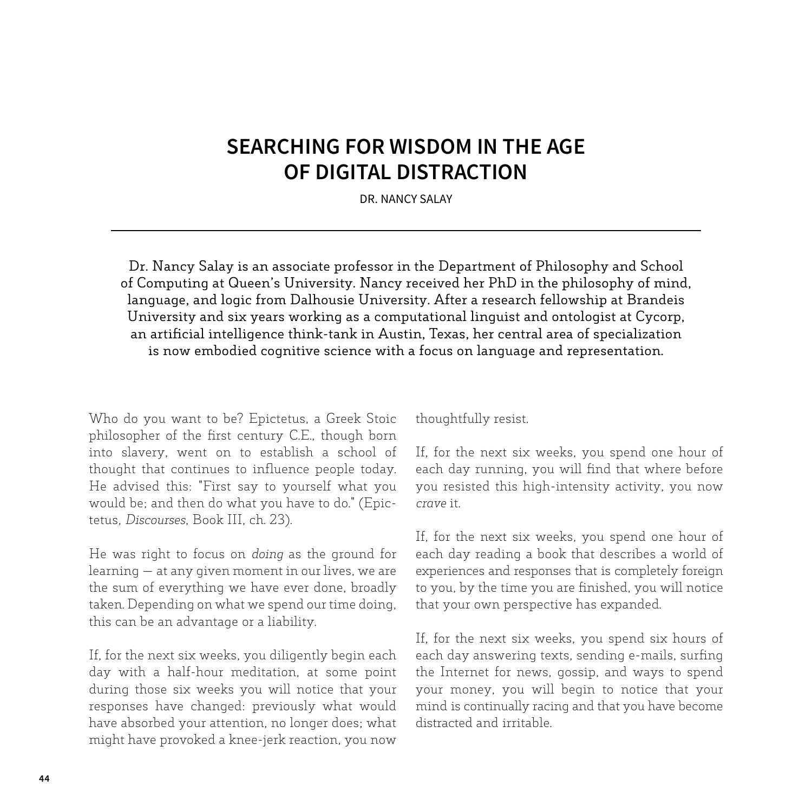### **SEARCHING FOR WISDOM IN THE AGE OF DIGITAL DISTRACTION**

DR. NANCY SALAY

Dr. Nancy Salay is an associate professor in the Department of Philosophy and School of Computing at Queen's University. Nancy received her PhD in the philosophy of mind, language, and logic from Dalhousie University. After a research fellowship at Brandeis University and six years working as a computational linguist and ontologist at Cycorp, an artificial intelligence think-tank in Austin, Texas, her central area of specialization is now embodied cognitive science with a focus on language and representation.

Who do you want to be? Epictetus, a Greek Stoic philosopher of the first century C.E., though born into slavery, went on to establish a school of thought that continues to influence people today. He advised this: "First say to yourself what you would be; and then do what you have to do." (Epictetus, *Discourses*, Book III, ch. 23).

He was right to focus on *doing* as the ground for learning — at any given moment in our lives, we are the sum of everything we have ever done, broadly taken. Depending on what we spend our time doing, this can be an advantage or a liability.

If, for the next six weeks, you diligently begin each day with a half-hour meditation, at some point during those six weeks you will notice that your responses have changed: previously what would have absorbed your attention, no longer does; what might have provoked a knee-jerk reaction, you now thoughtfully resist.

If, for the next six weeks, you spend one hour of each day running, you will find that where before you resisted this high-intensity activity, you now *crave* it.

If, for the next six weeks, you spend one hour of each day reading a book that describes a world of experiences and responses that is completely foreign to you, by the time you are finished, you will notice that your own perspective has expanded.

If, for the next six weeks, you spend six hours of each day answering texts, sending e-mails, surfing the Internet for news, gossip, and ways to spend your money, you will begin to notice that your mind is continually racing and that you have become distracted and irritable.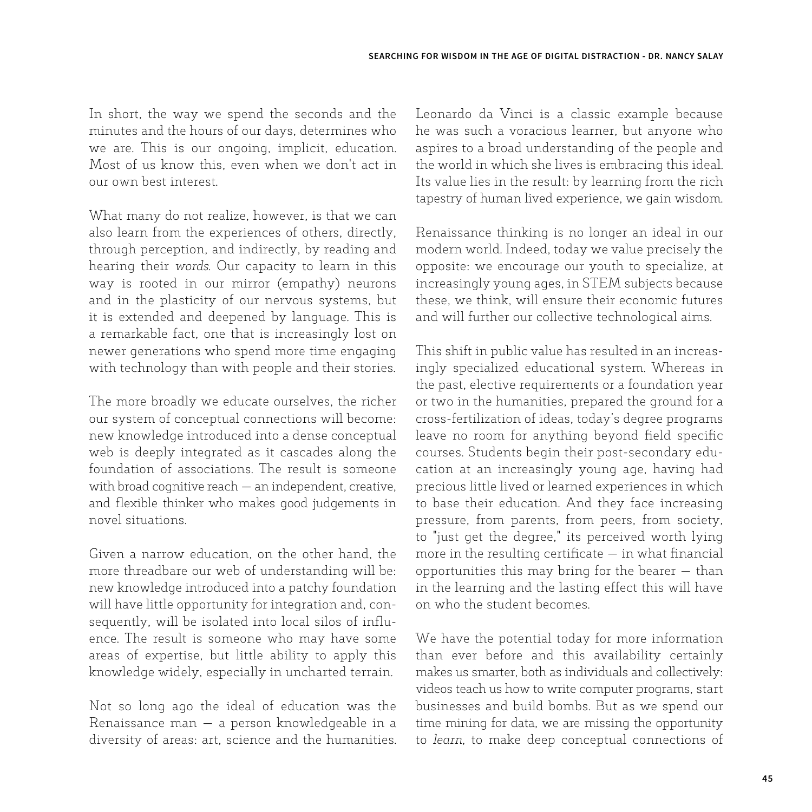In short, the way we spend the seconds and the minutes and the hours of our days, determines who we are. This is our ongoing, implicit, education. Most of us know this, even when we don't act in our own best interest.

What many do not realize, however, is that we can also learn from the experiences of others, directly, through perception, and indirectly, by reading and hearing their *words*. Our capacity to learn in this way is rooted in our mirror (empathy) neurons and in the plasticity of our nervous systems, but it is extended and deepened by language. This is a remarkable fact, one that is increasingly lost on newer generations who spend more time engaging with technology than with people and their stories.

The more broadly we educate ourselves, the richer our system of conceptual connections will become: new knowledge introduced into a dense conceptual web is deeply integrated as it cascades along the foundation of associations. The result is someone with broad cognitive reach — an independent, creative, and flexible thinker who makes good judgements in novel situations.

Given a narrow education, on the other hand, the more threadbare our web of understanding will be: new knowledge introduced into a patchy foundation will have little opportunity for integration and, consequently, will be isolated into local silos of influence. The result is someone who may have some areas of expertise, but little ability to apply this knowledge widely, especially in uncharted terrain.

Not so long ago the ideal of education was the Renaissance man — a person knowledgeable in a diversity of areas: art, science and the humanities. Leonardo da Vinci is a classic example because he was such a voracious learner, but anyone who aspires to a broad understanding of the people and the world in which she lives is embracing this ideal. Its value lies in the result: by learning from the rich tapestry of human lived experience, we gain wisdom.

Renaissance thinking is no longer an ideal in our modern world. Indeed, today we value precisely the opposite: we encourage our youth to specialize, at increasingly young ages, in STEM subjects because these, we think, will ensure their economic futures and will further our collective technological aims.

This shift in public value has resulted in an increasingly specialized educational system. Whereas in the past, elective requirements or a foundation year or two in the humanities, prepared the ground for a cross-fertilization of ideas, today's degree programs leave no room for anything beyond field specific courses. Students begin their post-secondary education at an increasingly young age, having had precious little lived or learned experiences in which to base their education. And they face increasing pressure, from parents, from peers, from society, to "just get the degree," its perceived worth lying more in the resulting certificate  $-$  in what financial opportunities this may bring for the bearer — than in the learning and the lasting effect this will have on who the student becomes.

We have the potential today for more information than ever before and this availability certainly makes us smarter, both as individuals and collectively: videos teach us how to write computer programs, start businesses and build bombs. But as we spend our time mining for data, we are missing the opportunity to *learn*, to make deep conceptual connections of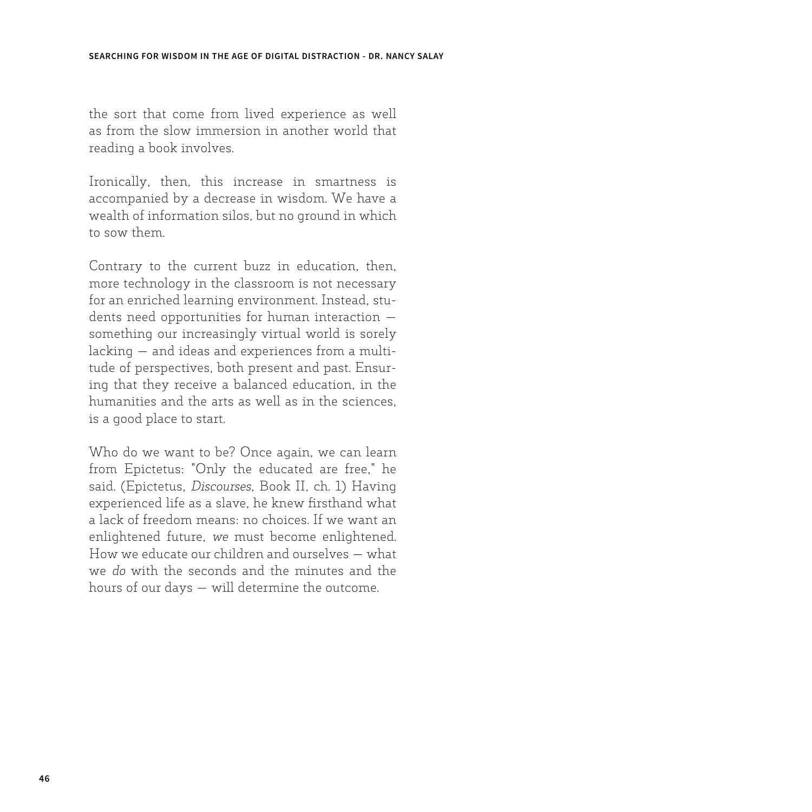the sort that come from lived experience as well as from the slow immersion in another world that reading a book involves.

Ironically, then, this increase in smartness is accompanied by a decrease in wisdom. We have a wealth of information silos, but no ground in which to sow them.

Contrary to the current buzz in education, then, more technology in the classroom is not necessary for an enriched learning environment. Instead, students need opportunities for human interaction something our increasingly virtual world is sorely lacking — and ideas and experiences from a multitude of perspectives, both present and past. Ensuring that they receive a balanced education, in the humanities and the arts as well as in the sciences, is a good place to start.

Who do we want to be? Once again, we can learn from Epictetus: "Only the educated are free," he said. (Epictetus, *Discourses*, Book II, ch. 1) Having experienced life as a slave, he knew firsthand what a lack of freedom means: no choices. If we want an enlightened future, *we* must become enlightened. How we educate our children and ourselves — what we *do* with the seconds and the minutes and the hours of our days — will determine the outcome.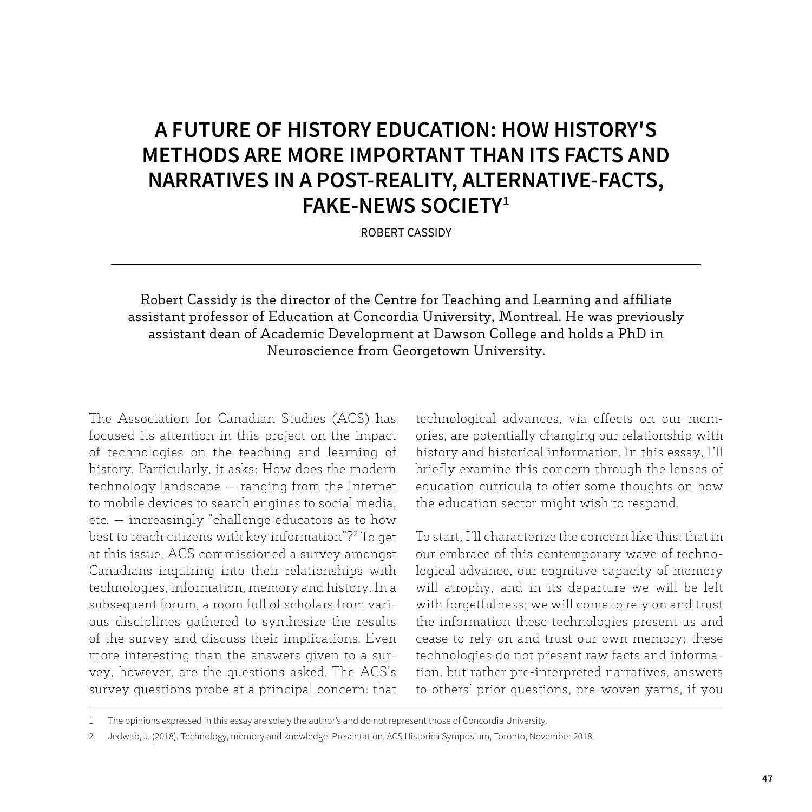# **A FUTURE OF HISTORY EDUCATION: HOW HISTORY'S METHODS ARE MORE IMPORTANT THAN ITS FACTS AND NARRATIVES IN A POST-REALITY, ALTERNATIVE-FACTS, FAKE-NEWS SOCIETY1**

ROBERT CASSIDY

Robert Cassidy is the director of the Centre for Teaching and Learning and affiliate assistant professor of Education at Concordia University, Montreal. He was previously assistant dean of Academic Development at Dawson College and holds a PhD in Neuroscience from Georgetown University.

The Association for Canadian Studies (ACS) has focused its attention in this project on the impact of technologies on the teaching and learning of history. Particularly, it asks: How does the modern technology landscape — ranging from the Internet to mobile devices to search engines to social media, etc. — increasingly "challenge educators as to how best to reach citizens with key information"?2 To get at this issue, ACS commissioned a survey amongst Canadians inquiring into their relationships with technologies, information, memory and history. In a subsequent forum, a room full of scholars from various disciplines gathered to synthesize the results of the survey and discuss their implications. Even more interesting than the answers given to a survey, however, are the questions asked. The ACS's survey questions probe at a principal concern: that technological advances, via effects on our memories, are potentially changing our relationship with history and historical information. In this essay, I'll briefly examine this concern through the lenses of education curricula to offer some thoughts on how the education sector might wish to respond.

To start, I'll characterize the concern like this: that in our embrace of this contemporary wave of technological advance, our cognitive capacity of memory will atrophy, and in its departure we will be left with forgetfulness; we will come to rely on and trust the information these technologies present us and cease to rely on and trust our own memory; these technologies do not present raw facts and information, but rather pre-interpreted narratives, answers to others' prior questions, pre-woven yarns, if you

<sup>1</sup> The opinions expressed in this essay are solely the author's and do not represent those of Concordia University.

<sup>2</sup> Jedwab, J. (2018). Technology, memory and knowledge. Presentation, ACS Historica Symposium, Toronto, November 2018.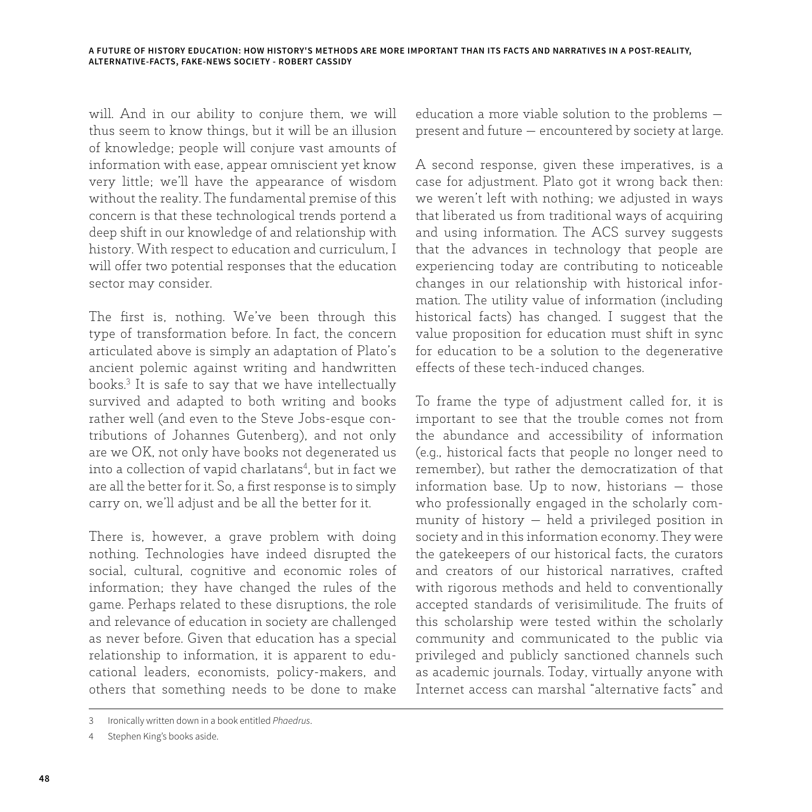will. And in our ability to conjure them, we will thus seem to know things, but it will be an illusion of knowledge; people will conjure vast amounts of information with ease, appear omniscient yet know very little; we'll have the appearance of wisdom without the reality. The fundamental premise of this concern is that these technological trends portend a deep shift in our knowledge of and relationship with history. With respect to education and curriculum, I will offer two potential responses that the education sector may consider.

The first is, nothing. We've been through this type of transformation before. In fact, the concern articulated above is simply an adaptation of Plato's ancient polemic against writing and handwritten books.3 It is safe to say that we have intellectually survived and adapted to both writing and books rather well (and even to the Steve Jobs-esque contributions of Johannes Gutenberg), and not only are we OK, not only have books not degenerated us into a collection of vapid charlatans4 , but in fact we are all the better for it. So, a first response is to simply carry on, we'll adjust and be all the better for it.

There is, however, a grave problem with doing nothing. Technologies have indeed disrupted the social, cultural, cognitive and economic roles of information; they have changed the rules of the game. Perhaps related to these disruptions, the role and relevance of education in society are challenged as never before. Given that education has a special relationship to information, it is apparent to educational leaders, economists, policy-makers, and others that something needs to be done to make education a more viable solution to the problems present and future — encountered by society at large.

A second response, given these imperatives, is a case for adjustment. Plato got it wrong back then: we weren't left with nothing; we adjusted in ways that liberated us from traditional ways of acquiring and using information. The ACS survey suggests that the advances in technology that people are experiencing today are contributing to noticeable changes in our relationship with historical information. The utility value of information (including historical facts) has changed. I suggest that the value proposition for education must shift in sync for education to be a solution to the degenerative effects of these tech-induced changes.

To frame the type of adjustment called for, it is important to see that the trouble comes not from the abundance and accessibility of information (e.g., historical facts that people no longer need to remember), but rather the democratization of that information base. Up to now, historians — those who professionally engaged in the scholarly community of history — held a privileged position in society and in this information economy. They were the gatekeepers of our historical facts, the curators and creators of our historical narratives, crafted with rigorous methods and held to conventionally accepted standards of verisimilitude. The fruits of this scholarship were tested within the scholarly community and communicated to the public via privileged and publicly sanctioned channels such as academic journals. Today, virtually anyone with Internet access can marshal "alternative facts" and

<sup>3</sup> Ironically written down in a book entitled *Phaedrus*.

Stephen King's books aside.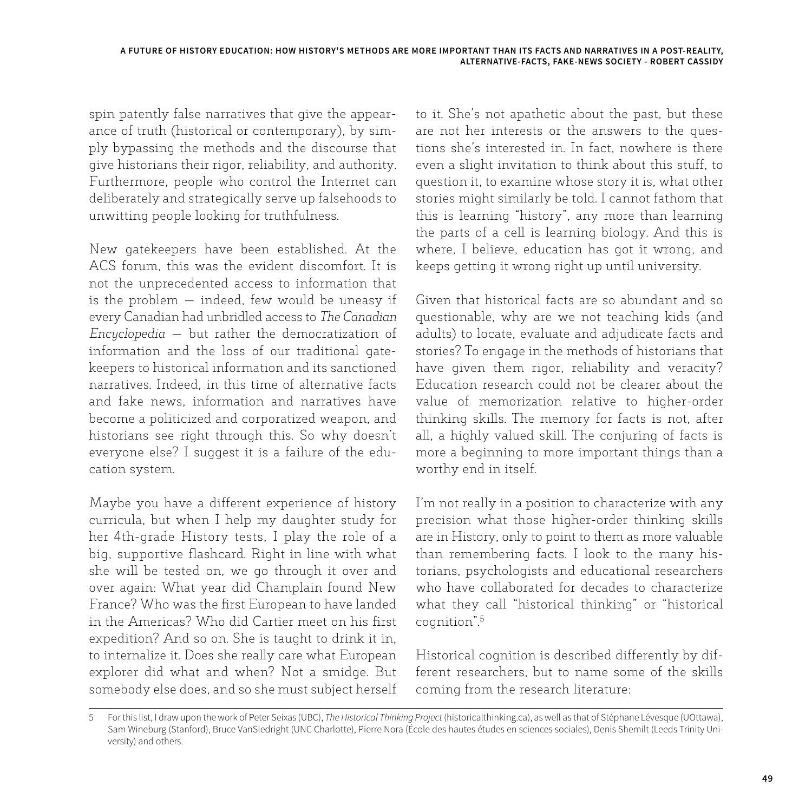spin patently false narratives that give the appearance of truth (historical or contemporary), by simply bypassing the methods and the discourse that give historians their rigor, reliability, and authority. Furthermore, people who control the Internet can deliberately and strategically serve up falsehoods to unwitting people looking for truthfulness.

New gatekeepers have been established. At the ACS forum, this was the evident discomfort. It is not the unprecedented access to information that is the problem — indeed, few would be uneasy if every Canadian had unbridled access to *The Canadian Encyclopedia* — but rather the democratization of information and the loss of our traditional gatekeepers to historical information and its sanctioned narratives. Indeed, in this time of alternative facts and fake news, information and narratives have become a politicized and corporatized weapon, and historians see right through this. So why doesn't everyone else? I suggest it is a failure of the education system.

Maybe you have a different experience of history curricula, but when I help my daughter study for her 4th-grade History tests, I play the role of a big, supportive flashcard. Right in line with what she will be tested on, we go through it over and over again: What year did Champlain found New France? Who was the first European to have landed in the Americas? Who did Cartier meet on his first expedition? And so on. She is taught to drink it in, to internalize it. Does she really care what European explorer did what and when? Not a smidge. But somebody else does, and so she must subject herself to it. She's not apathetic about the past, but these are not her interests or the answers to the questions she's interested in. In fact, nowhere is there even a slight invitation to think about this stuff, to question it, to examine whose story it is, what other stories might similarly be told. I cannot fathom that this is learning "history", any more than learning the parts of a cell is learning biology. And this is where, I believe, education has got it wrong, and keeps getting it wrong right up until university.

Given that historical facts are so abundant and so questionable, why are we not teaching kids (and adults) to locate, evaluate and adjudicate facts and stories? To engage in the methods of historians that have given them rigor, reliability and veracity? Education research could not be clearer about the value of memorization relative to higher-order thinking skills. The memory for facts is not, after all, a highly valued skill. The conjuring of facts is more a beginning to more important things than a worthy end in itself.

I'm not really in a position to characterize with any precision what those higher-order thinking skills are in History, only to point to them as more valuable than remembering facts. I look to the many historians, psychologists and educational researchers who have collaborated for decades to characterize what they call "historical thinking" or "historical cognition".5

Historical cognition is described differently by different researchers, but to name some of the skills coming from the research literature:

<sup>5</sup> For this list, I draw upon the work of Peter Seixas (UBC), *The Historical Thinking Project* (historicalthinking.ca), as well as that of Stéphane Lévesque (UOttawa), Sam Wineburg (Stanford), Bruce VanSledright (UNC Charlotte), Pierre Nora (École des hautes études en sciences sociales), Denis Shemilt (Leeds Trinity University) and others.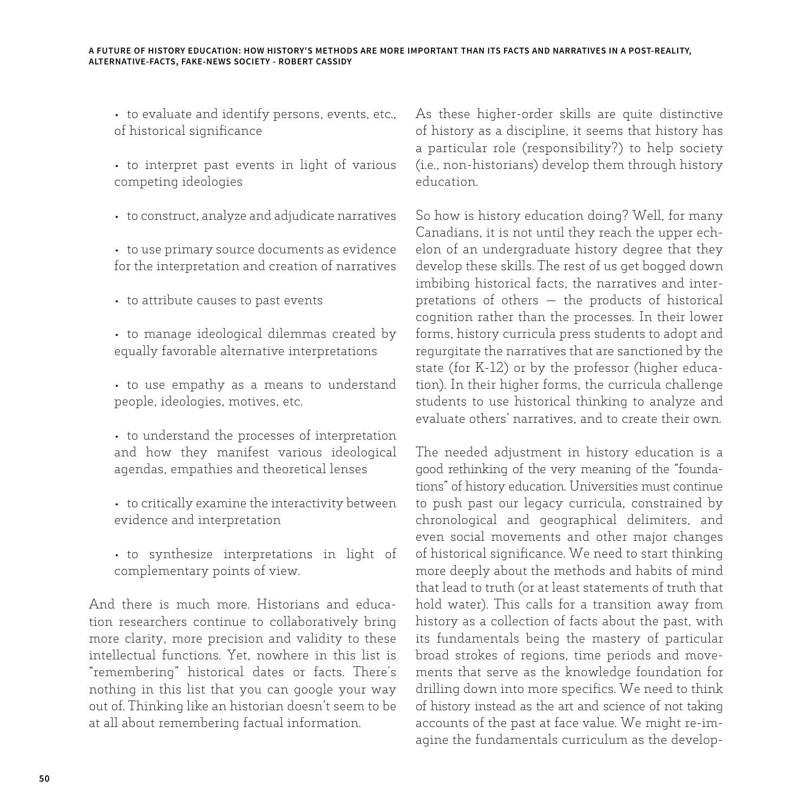• to evaluate and identify persons, events, etc., of historical significance

• to interpret past events in light of various competing ideologies

• to construct, analyze and adjudicate narratives

• to use primary source documents as evidence for the interpretation and creation of narratives

- to attribute causes to past events
- to manage ideological dilemmas created by equally favorable alternative interpretations
- to use empathy as a means to understand people, ideologies, motives, etc.
- to understand the processes of interpretation and how they manifest various ideological agendas, empathies and theoretical lenses
- to critically examine the interactivity between evidence and interpretation
- to synthesize interpretations in light of complementary points of view.

And there is much more. Historians and education researchers continue to collaboratively bring more clarity, more precision and validity to these intellectual functions. Yet, nowhere in this list is "remembering" historical dates or facts. There's nothing in this list that you can google your way out of. Thinking like an historian doesn't seem to be at all about remembering factual information.

As these higher-order skills are quite distinctive of history as a discipline, it seems that history has a particular role (responsibility?) to help society (i.e., non-historians) develop them through history education.

So how is history education doing? Well, for many Canadians, it is not until they reach the upper echelon of an undergraduate history degree that they develop these skills. The rest of us get bogged down imbibing historical facts, the narratives and interpretations of others — the products of historical cognition rather than the processes. In their lower forms, history curricula press students to adopt and regurgitate the narratives that are sanctioned by the state (for K-12) or by the professor (higher education). In their higher forms, the curricula challenge students to use historical thinking to analyze and evaluate others' narratives, and to create their own.

The needed adjustment in history education is a good rethinking of the very meaning of the "foundations" of history education. Universities must continue to push past our legacy curricula, constrained by chronological and geographical delimiters, and even social movements and other major changes of historical significance. We need to start thinking more deeply about the methods and habits of mind that lead to truth (or at least statements of truth that hold water). This calls for a transition away from history as a collection of facts about the past, with its fundamentals being the mastery of particular broad strokes of regions, time periods and movements that serve as the knowledge foundation for drilling down into more specifics. We need to think of history instead as the art and science of not taking accounts of the past at face value. We might re-imagine the fundamentals curriculum as the develop-